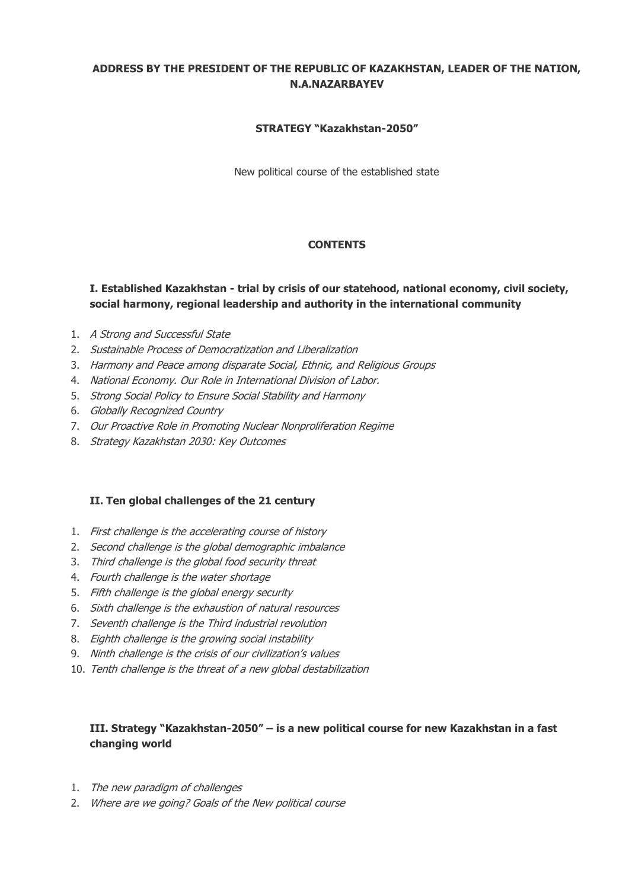# **ADDRESS BY THE PRESIDENT OF THE REPUBLIC OF KAZAKHSTAN, LEADER OF THE NATION, N.A.NAZARBAYEV**

### **STRATEGY "Kazakhstan-2050"**

New political course of the established state

# **CONTENTS**

# **I. Established Kazakhstan - trial by crisis of our statehood, national economy, civil society, social harmony, regional leadership and authority in the international community**

- 1. A Strong and Successful State
- 2. Sustainable Process of Democratization and Liberalization
- 3. Harmony and Peace among disparate Social, Ethnic, and Religious Groups
- 4. National Economy. Our Role in International Division of Labor.
- 5. Strong Social Policy to Ensure Social Stability and Harmony
- 6. Globally Recognized Country
- 7. Our Proactive Role in Promoting Nuclear Nonproliferation Regime
- 8. Strategy Kazakhstan 2030: Key Outcomes

#### **II. Ten global challenges of the 21 century**

- 1. First challenge is the accelerating course of history
- 2. Second challenge is the global demographic imbalance
- 3. Third challenge is the global food security threat
- 4. Fourth challenge is the water shortage
- 5. Fifth challenge is the global energy security
- 6. Sixth challenge is the exhaustion of natural resources
- 7. Seventh challenge is the Third industrial revolution
- 8. Eighth challenge is the growing social instability
- 9. Ninth challenge is the crisis of our civilization's values
- 10. Tenth challenge is the threat of a new global destabilization

# **III. Strategy "Kazakhstan-2050" – is a new political course for new Kazakhstan in a fast changing world**

- 1. The new paradigm of challenges
- 2. Where are we going? Goals of the New political course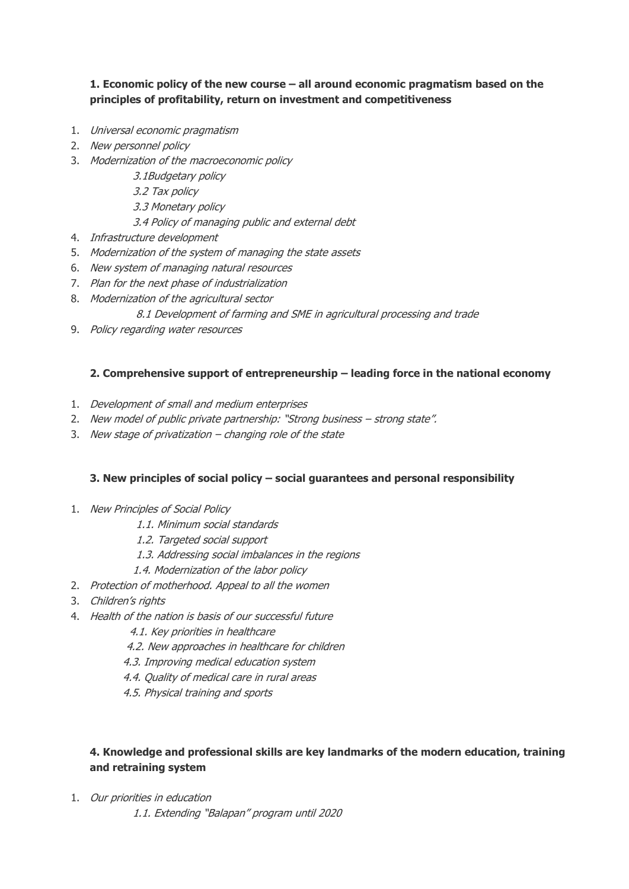# **1. Economic policy of the new course – all around economic pragmatism based on the principles of profitability, return on investment and competitiveness**

- 1. Universal economic pragmatism
- 2. New personnel policy
- 3. Modernization of the macroeconomic policy
	- 3.1Budgetary policy
	- 3.2 Tax policy
	- 3.3 Monetary policy

3.4 Policy of managing public and external debt

- 4. Infrastructure development
- 5. Modernization of the system of managing the state assets
- 6. New system of managing natural resources
- 7. Plan for the next phase of industrialization
- 8. Modernization of the agricultural sector

#### 8.1 Development of farming and SME in agricultural processing and trade

9. Policy regarding water resources

### **2. Comprehensive support of entrepreneurship – leading force in the national economy**

- 1. Development of small and medium enterprises
- 2. New model of public private partnership: "Strong business strong state".
- 3. New stage of privatization  $-$  changing role of the state

# **3. New principles of social policy – social guarantees and personal responsibility**

- 1. New Principles of Social Policy
	- 1.1. Minimum social standards
	- 1.2. Targeted social support
	- 1.3. Addressing social imbalances in the regions
	- 1.4. Modernization of the labor policy
- 2. Protection of motherhood. Appeal to all the women
- 3. Children's rights
- 4. Health of the nation is basis of our successful future
	- 4.1. Key priorities in healthcare
	- 4.2. New approaches in healthcare for children
	- 4.3. Improving medical education system
	- 4.4. Quality of medical care in rural areas
	- 4.5. Physical training and sports

# **4. Knowledge and professional skills are key landmarks of the modern education, training and retraining system**

1. Our priorities in education

1.1. Extending "Balapan" program until 2020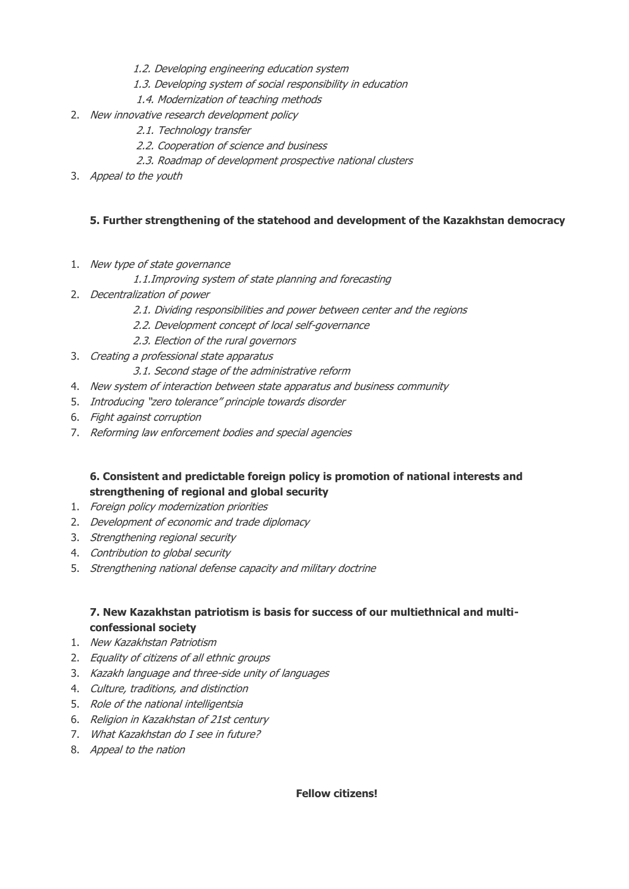- 1.2. Developing engineering education system
- 1.3. Developing system of social responsibility in education
- 1.4. Modernization of teaching methods
- 2. New innovative research development policy
	- 2.1. Technology transfer
	- 2.2. Cooperation of science and business
	- 2.3. Roadmap of development prospective national clusters
- 3. Appeal to the youth

# **5. Further strengthening of the statehood and development of the Kazakhstan democracy**

- 1. New type of state governance
	- 1.1.Improving system of state planning and forecasting
- 2. Decentralization of power
	- 2.1. Dividing responsibilities and power between center and the regions
	- 2.2. Development concept of local self-governance
	- 2.3. Election of the rural governors
- 3. Creating a professional state apparatus
	- 3.1. Second stage of the administrative reform
- 4. New system of interaction between state apparatus and business community
- 5. Introducing "zero tolerance" principle towards disorder
- 6. Fight against corruption
- 7. Reforming law enforcement bodies and special agencies

# **6. Consistent and predictable foreign policy is promotion of national interests and strengthening of regional and global security**

- 1. Foreign policy modernization priorities
- 2. Development of economic and trade diplomacy
- 3. Strengthening regional security
- 4. Contribution to global security
- 5. Strengthening national defense capacity and military doctrine

# **7. New Kazakhstan patriotism is basis for success of our multiethnical and multiconfessional society**

- 1. New Kazakhstan Patriotism
- 2. Equality of citizens of all ethnic groups
- 3. Kazakh language and three-side unity of languages
- 4. Culture, traditions, and distinction
- 5. Role of the national intelligentsia
- 6. Religion in Kazakhstan of 21st century
- 7. What Kazakhstan do I see in future?
- 8. Appeal to the nation

#### **Fellow citizens!**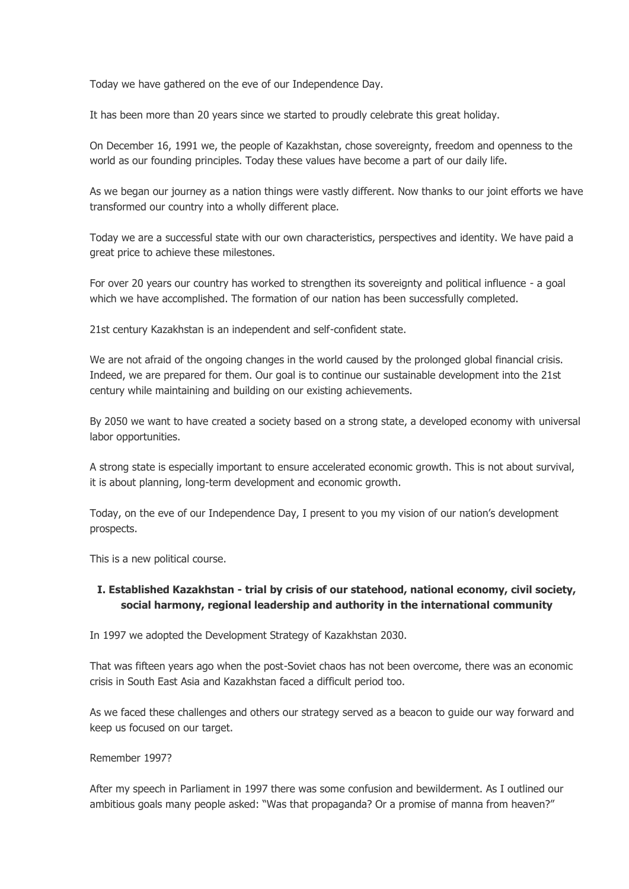Today we have gathered on the eve of our Independence Day.

It has been more than 20 years since we started to proudly celebrate this great holiday.

On December 16, 1991 we, the people of Kazakhstan, chose sovereignty, freedom and openness to the world as our founding principles. Today these values have become a part of our daily life.

As we began our journey as a nation things were vastly different. Now thanks to our joint efforts we have transformed our country into a wholly different place.

Today we are a successful state with our own characteristics, perspectives and identity. We have paid a great price to achieve these milestones.

For over 20 years our country has worked to strengthen its sovereignty and political influence - a goal which we have accomplished. The formation of our nation has been successfully completed.

21st century Kazakhstan is an independent and self-confident state.

We are not afraid of the ongoing changes in the world caused by the prolonged global financial crisis. Indeed, we are prepared for them. Our goal is to continue our sustainable development into the 21st century while maintaining and building on our existing achievements.

By 2050 we want to have created a society based on a strong state, a developed economy with universal labor opportunities.

A strong state is especially important to ensure accelerated economic growth. This is not about survival, it is about planning, long-term development and economic growth.

Today, on the eve of our Independence Day, I present to you my vision of our nation's development prospects.

This is a new political course.

# **I. Established Kazakhstan - trial by crisis of our statehood, national economy, civil society, social harmony, regional leadership and authority in the international community**

In 1997 we adopted the Development Strategy of Kazakhstan 2030.

That was fifteen years ago when the post-Soviet chaos has not been overcome, there was an economic crisis in South East Asia and Kazakhstan faced a difficult period too.

As we faced these challenges and others our strategy served as a beacon to guide our way forward and keep us focused on our target.

Remember 1997?

After my speech in Parliament in 1997 there was some confusion and bewilderment. As I outlined our ambitious goals many people asked: "Was that propaganda? Or a promise of manna from heaven?"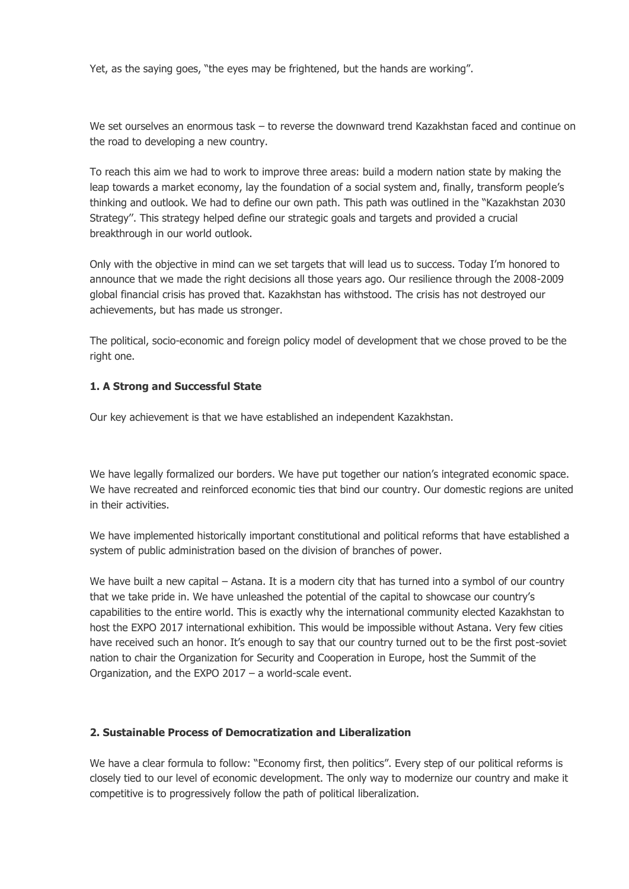Yet, as the saying goes, "the eyes may be frightened, but the hands are working".

We set ourselves an enormous task – to reverse the downward trend Kazakhstan faced and continue on the road to developing a new country.

To reach this aim we had to work to improve three areas: build a modern nation state by making the leap towards a market economy, lay the foundation of a social system and, finally, transform people's thinking and outlook. We had to define our own path. This path was outlined in the "Kazakhstan 2030 Strategy''. This strategy helped define our strategic goals and targets and provided a crucial breakthrough in our world outlook.

Only with the objective in mind can we set targets that will lead us to success. Today I'm honored to announce that we made the right decisions all those years ago. Our resilience through the 2008-2009 global financial crisis has proved that. Kazakhstan has withstood. The crisis has not destroyed our achievements, but has made us stronger.

The political, socio-economic and foreign policy model of development that we chose proved to be the right one.

### **1. A Strong and Successful State**

Our key achievement is that we have established an independent Kazakhstan.

We have legally formalized our borders. We have put together our nation's integrated economic space. We have recreated and reinforced economic ties that bind our country. Our domestic regions are united in their activities.

We have implemented historically important constitutional and political reforms that have established a system of public administration based on the division of branches of power.

We have built a new capital – Astana. It is a modern city that has turned into a symbol of our country that we take pride in. We have unleashed the potential of the capital to showcase our country's capabilities to the entire world. This is exactly why the international community elected Kazakhstan to host the EXPO 2017 international exhibition. This would be impossible without Astana. Very few cities have received such an honor. It's enough to say that our country turned out to be the first post-soviet nation to chair the Organization for Security and Cooperation in Europe, host the Summit of the Organization, and the EXPO 2017 – a world-scale event.

#### **2. Sustainable Process of Democratization and Liberalization**

We have a clear formula to follow: "Economy first, then politics". Every step of our political reforms is closely tied to our level of economic development. The only way to modernize our country and make it competitive is to progressively follow the path of political liberalization.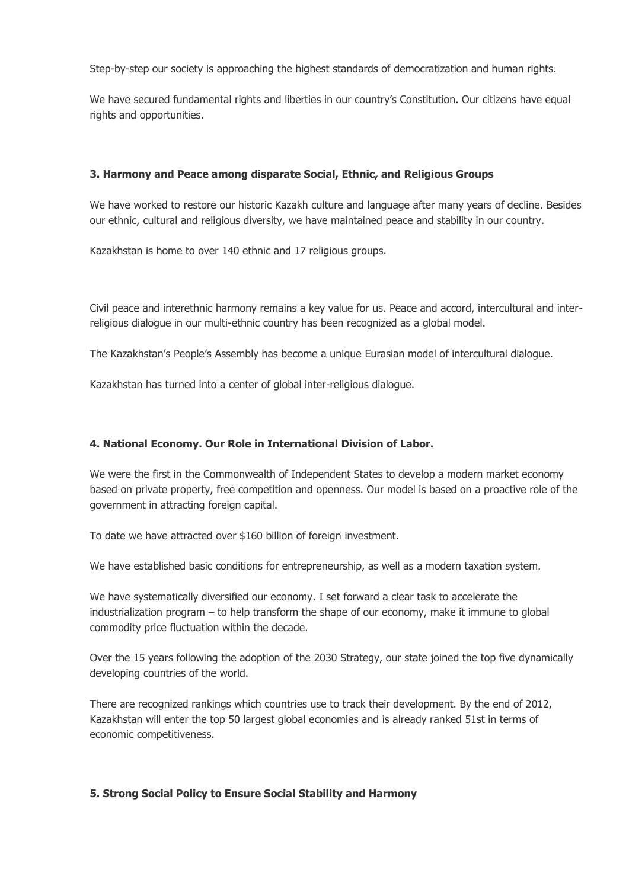Step-by-step our society is approaching the highest standards of democratization and human rights.

We have secured fundamental rights and liberties in our country's Constitution. Our citizens have equal rights and opportunities.

### **3. Harmony and Peace among disparate Social, Ethnic, and Religious Groups**

We have worked to restore our historic Kazakh culture and language after many years of decline. Besides our ethnic, cultural and religious diversity, we have maintained peace and stability in our country.

Kazakhstan is home to over 140 ethnic and 17 religious groups.

Civil peace and interethnic harmony remains a key value for us. Peace and accord, intercultural and interreligious dialogue in our multi-ethnic country has been recognized as a global model.

The Kazakhstan's People's Assembly has become a unique Eurasian model of intercultural dialogue.

Kazakhstan has turned into a center of global inter-religious dialogue.

### **4. National Economy. Our Role in International Division of Labor.**

We were the first in the Commonwealth of Independent States to develop a modern market economy based on private property, free competition and openness. Our model is based on a proactive role of the government in attracting foreign capital.

To date we have attracted over \$160 billion of foreign investment.

We have established basic conditions for entrepreneurship, as well as a modern taxation system.

We have systematically diversified our economy. I set forward a clear task to accelerate the industrialization program – to help transform the shape of our economy, make it immune to global commodity price fluctuation within the decade.

Over the 15 years following the adoption of the 2030 Strategy, our state joined the top five dynamically developing countries of the world.

There are recognized rankings which countries use to track their development. By the end of 2012, Kazakhstan will enter the top 50 largest global economies and is already ranked 51st in terms of economic competitiveness.

# **5. Strong Social Policy to Ensure Social Stability and Harmony**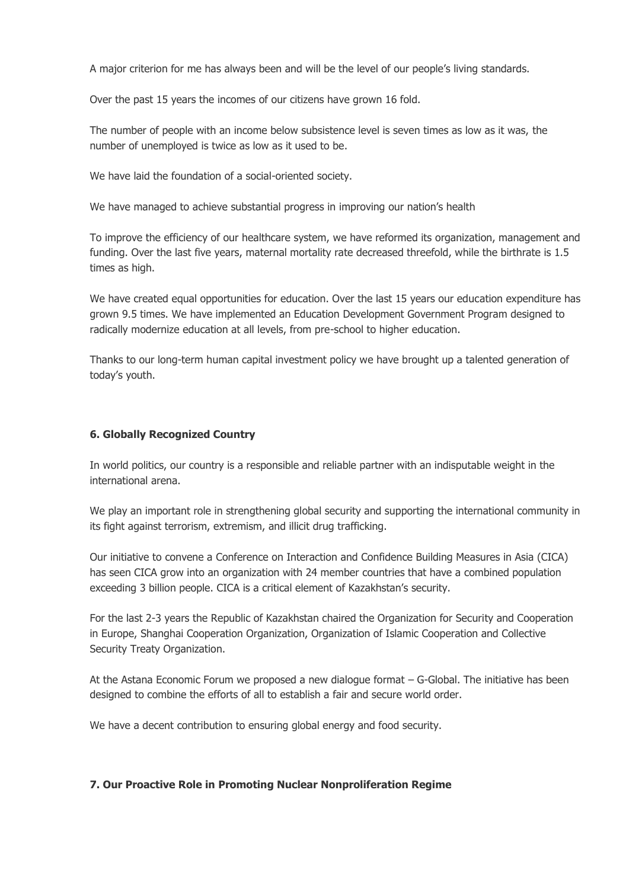A major criterion for me has always been and will be the level of our people's living standards.

Over the past 15 years the incomes of our citizens have grown 16 fold.

The number of people with an income below subsistence level is seven times as low as it was, the number of unemployed is twice as low as it used to be.

We have laid the foundation of a social-oriented society.

We have managed to achieve substantial progress in improving our nation's health

To improve the efficiency of our healthcare system, we have reformed its organization, management and funding. Over the last five years, maternal mortality rate decreased threefold, while the birthrate is 1.5 times as high.

We have created equal opportunities for education. Over the last 15 years our education expenditure has grown 9.5 times. We have implemented an Education Development Government Program designed to radically modernize education at all levels, from pre-school to higher education.

Thanks to our long-term human capital investment policy we have brought up a talented generation of today's youth.

#### **6. Globally Recognized Country**

In world politics, our country is a responsible and reliable partner with an indisputable weight in the international arena.

We play an important role in strengthening global security and supporting the international community in its fight against terrorism, extremism, and illicit drug trafficking.

Our initiative to convene a Conference on Interaction and Confidence Building Measures in Asia (CICA) has seen CICA grow into an organization with 24 member countries that have a combined population exceeding 3 billion people. CICA is a critical element of Kazakhstan's security.

For the last 2-3 years the Republic of Kazakhstan chaired the Organization for Security and Cooperation in Europe, Shanghai Cooperation Organization, Organization of Islamic Cooperation and Collective Security Treaty Organization.

At the Astana Economic Forum we proposed a new dialogue format – G-Global. The initiative has been designed to combine the efforts of all to establish a fair and secure world order.

We have a decent contribution to ensuring global energy and food security.

#### **7. Our Proactive Role in Promoting Nuclear Nonproliferation Regime**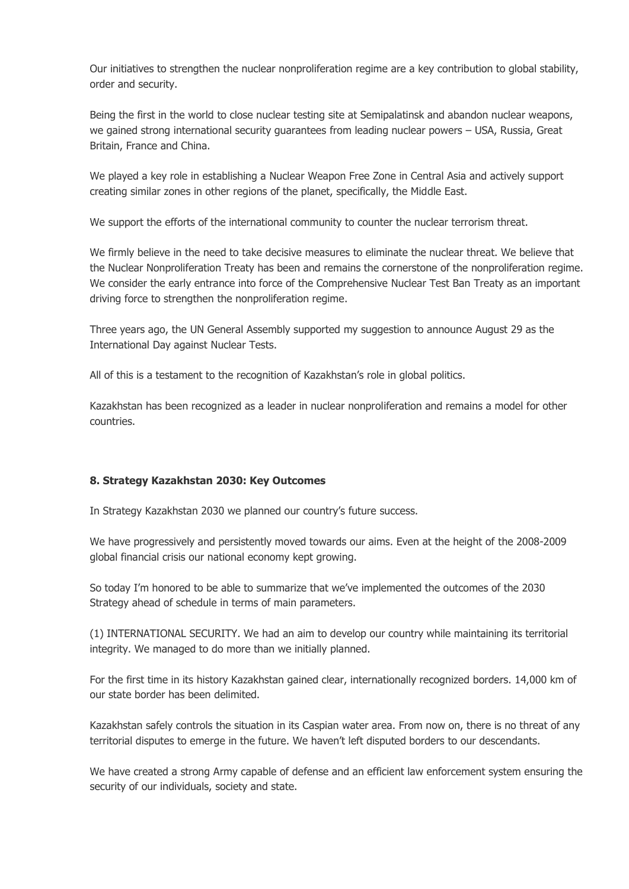Our initiatives to strengthen the nuclear nonproliferation regime are a key contribution to global stability, order and security.

Being the first in the world to close nuclear testing site at Semipalatinsk and abandon nuclear weapons, we gained strong international security guarantees from leading nuclear powers – USA, Russia, Great Britain, France and China.

We played a key role in establishing a Nuclear Weapon Free Zone in Central Asia and actively support creating similar zones in other regions of the planet, specifically, the Middle East.

We support the efforts of the international community to counter the nuclear terrorism threat.

We firmly believe in the need to take decisive measures to eliminate the nuclear threat. We believe that the Nuclear Nonproliferation Treaty has been and remains the cornerstone of the nonproliferation regime. We consider the early entrance into force of the Comprehensive Nuclear Test Ban Treaty as an important driving force to strengthen the nonproliferation regime.

Three years ago, the UN General Assembly supported my suggestion to announce August 29 as the International Day against Nuclear Tests.

All of this is a testament to the recognition of Kazakhstan's role in global politics.

Kazakhstan has been recognized as a leader in nuclear nonproliferation and remains a model for other countries.

#### **8. Strategy Kazakhstan 2030: Key Outcomes**

In Strategy Kazakhstan 2030 we planned our country's future success.

We have progressively and persistently moved towards our aims. Even at the height of the 2008-2009 global financial crisis our national economy kept growing.

So today I'm honored to be able to summarize that we've implemented the outcomes of the 2030 Strategy ahead of schedule in terms of main parameters.

(1) INTERNATIONAL SECURITY. We had an aim to develop our country while maintaining its territorial integrity. We managed to do more than we initially planned.

For the first time in its history Kazakhstan gained clear, internationally recognized borders. 14,000 km of our state border has been delimited.

Kazakhstan safely controls the situation in its Caspian water area. From now on, there is no threat of any territorial disputes to emerge in the future. We haven't left disputed borders to our descendants.

We have created a strong Army capable of defense and an efficient law enforcement system ensuring the security of our individuals, society and state.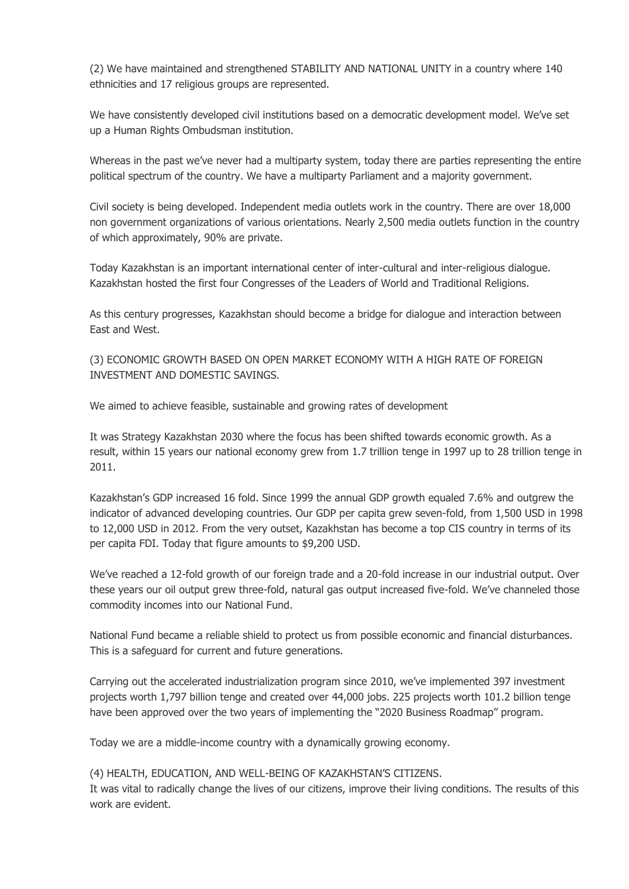(2) We have maintained and strengthened STABILITY AND NATIONAL UNITY in a country where 140 ethnicities and 17 religious groups are represented.

We have consistently developed civil institutions based on a democratic development model. We've set up a Human Rights Ombudsman institution.

Whereas in the past we've never had a multiparty system, today there are parties representing the entire political spectrum of the country. We have a multiparty Parliament and a majority government.

Civil society is being developed. Independent media outlets work in the country. There are over 18,000 non government organizations of various orientations. Nearly 2,500 media outlets function in the country of which approximately, 90% are private.

Today Kazakhstan is an important international center of inter-cultural and inter-religious dialogue. Kazakhstan hosted the first four Congresses of the Leaders of World and Traditional Religions.

As this century progresses, Kazakhstan should become a bridge for dialogue and interaction between East and West.

(3) ECONOMIC GROWTH BASED ON OPEN MARKET ECONOMY WITH A HIGH RATE OF FOREIGN INVESTMENT AND DOMESTIC SAVINGS.

We aimed to achieve feasible, sustainable and growing rates of development

It was Strategy Kazakhstan 2030 where the focus has been shifted towards economic growth. As a result, within 15 years our national economy grew from 1.7 trillion tenge in 1997 up to 28 trillion tenge in 2011.

Kazakhstan's GDP increased 16 fold. Since 1999 the annual GDP growth equaled 7.6% and outgrew the indicator of advanced developing countries. Our GDP per capita grew seven-fold, from 1,500 USD in 1998 to 12,000 USD in 2012. From the very outset, Kazakhstan has become a top CIS country in terms of its per capita FDI. Today that figure amounts to \$9,200 USD.

We've reached a 12-fold growth of our foreign trade and a 20-fold increase in our industrial output. Over these years our oil output grew three-fold, natural gas output increased five-fold. We've channeled those commodity incomes into our National Fund.

National Fund became a reliable shield to protect us from possible economic and financial disturbances. This is a safeguard for current and future generations.

Carrying out the accelerated industrialization program since 2010, we've implemented 397 investment projects worth 1,797 billion tenge and created over 44,000 jobs. 225 projects worth 101.2 billion tenge have been approved over the two years of implementing the "2020 Business Roadmap" program.

Today we are a middle-income country with a dynamically growing economy.

(4) HEALTH, EDUCATION, AND WELL-BEING OF KAZAKHSTAN'S CITIZENS.

It was vital to radically change the lives of our citizens, improve their living conditions. The results of this work are evident.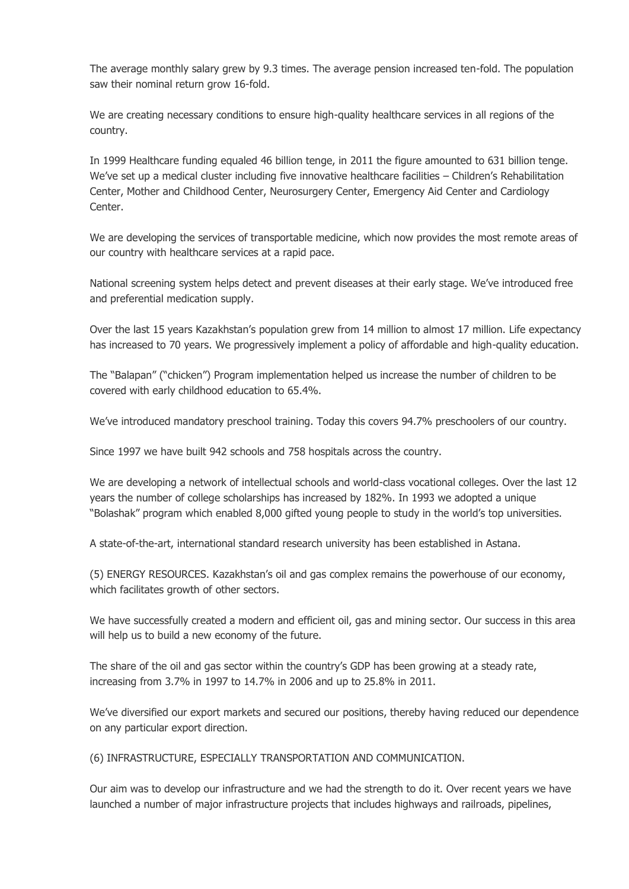The average monthly salary grew by 9.3 times. The average pension increased ten-fold. The population saw their nominal return grow 16-fold.

We are creating necessary conditions to ensure high-quality healthcare services in all regions of the country.

In 1999 Healthcare funding equaled 46 billion tenge, in 2011 the figure amounted to 631 billion tenge. We've set up a medical cluster including five innovative healthcare facilities – Children's Rehabilitation Center, Mother and Childhood Center, Neurosurgery Center, Emergency Aid Center and Cardiology Center.

We are developing the services of transportable medicine, which now provides the most remote areas of our country with healthcare services at a rapid pace.

National screening system helps detect and prevent diseases at their early stage. We've introduced free and preferential medication supply.

Over the last 15 years Kazakhstan's population grew from 14 million to almost 17 million. Life expectancy has increased to 70 years. We progressively implement a policy of affordable and high-quality education.

The "Balapan" ("chicken") Program implementation helped us increase the number of children to be covered with early childhood education to 65.4%.

We've introduced mandatory preschool training. Today this covers 94.7% preschoolers of our country.

Since 1997 we have built 942 schools and 758 hospitals across the country.

We are developing a network of intellectual schools and world-class vocational colleges. Over the last 12 years the number of college scholarships has increased by 182%. In 1993 we adopted a unique "Bolashak" program which enabled 8,000 gifted young people to study in the world's top universities.

A state-of-the-art, international standard research university has been established in Astana.

(5) ENERGY RESOURCES. Kazakhstan's oil and gas complex remains the powerhouse of our economy, which facilitates growth of other sectors.

We have successfully created a modern and efficient oil, gas and mining sector. Our success in this area will help us to build a new economy of the future.

The share of the oil and gas sector within the country's GDP has been growing at a steady rate, increasing from 3.7% in 1997 to 14.7% in 2006 and up to 25.8% in 2011.

We've diversified our export markets and secured our positions, thereby having reduced our dependence on any particular export direction.

(6) INFRASTRUCTURE, ESPECIALLY TRANSPORTATION AND COMMUNICATION.

Our aim was to develop our infrastructure and we had the strength to do it. Over recent years we have launched a number of major infrastructure projects that includes highways and railroads, pipelines,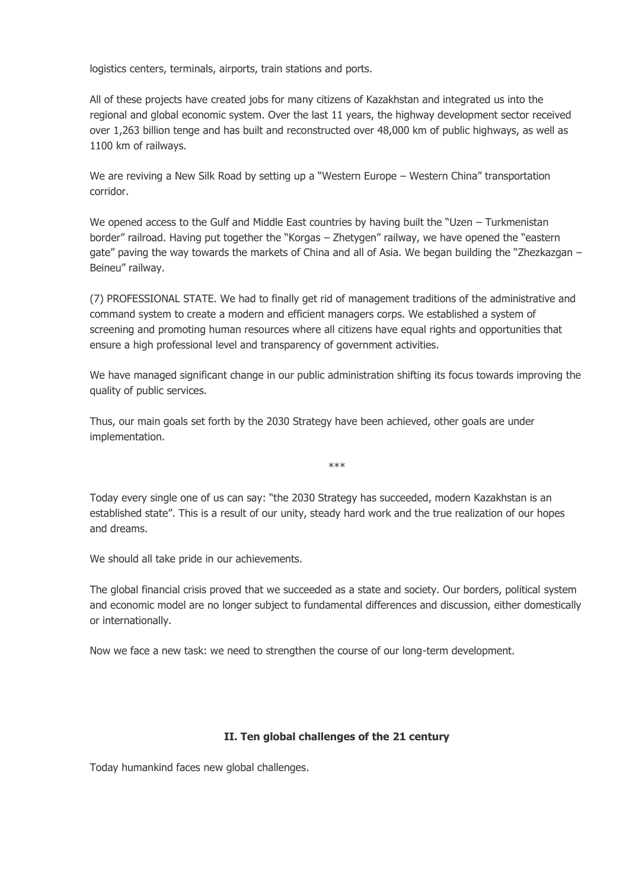logistics centers, terminals, airports, train stations and ports.

All of these projects have created jobs for many citizens of Kazakhstan and integrated us into the regional and global economic system. Over the last 11 years, the highway development sector received over 1,263 billion tenge and has built and reconstructed over 48,000 km of public highways, as well as 1100 km of railways.

We are reviving a New Silk Road by setting up a "Western Europe – Western China" transportation corridor.

We opened access to the Gulf and Middle East countries by having built the "Uzen – Turkmenistan border" railroad. Having put together the "Korgas – Zhetygen" railway, we have opened the "eastern gate" paving the way towards the markets of China and all of Asia. We began building the "Zhezkazgan – Beineu" railway.

(7) PROFESSIONAL STATE. We had to finally get rid of management traditions of the administrative and command system to create a modern and efficient managers corps. We established a system of screening and promoting human resources where all citizens have equal rights and opportunities that ensure a high professional level and transparency of government activities.

We have managed significant change in our public administration shifting its focus towards improving the quality of public services.

Thus, our main goals set forth by the 2030 Strategy have been achieved, other goals are under implementation.

\*\*\*

Today every single one of us can say: "the 2030 Strategy has succeeded, modern Kazakhstan is an established state". This is a result of our unity, steady hard work and the true realization of our hopes and dreams.

We should all take pride in our achievements.

The global financial crisis proved that we succeeded as a state and society. Our borders, political system and economic model are no longer subject to fundamental differences and discussion, either domestically or internationally.

Now we face a new task: we need to strengthen the course of our long-term development.

#### **II. Ten global challenges of the 21 century**

Today humankind faces new global challenges.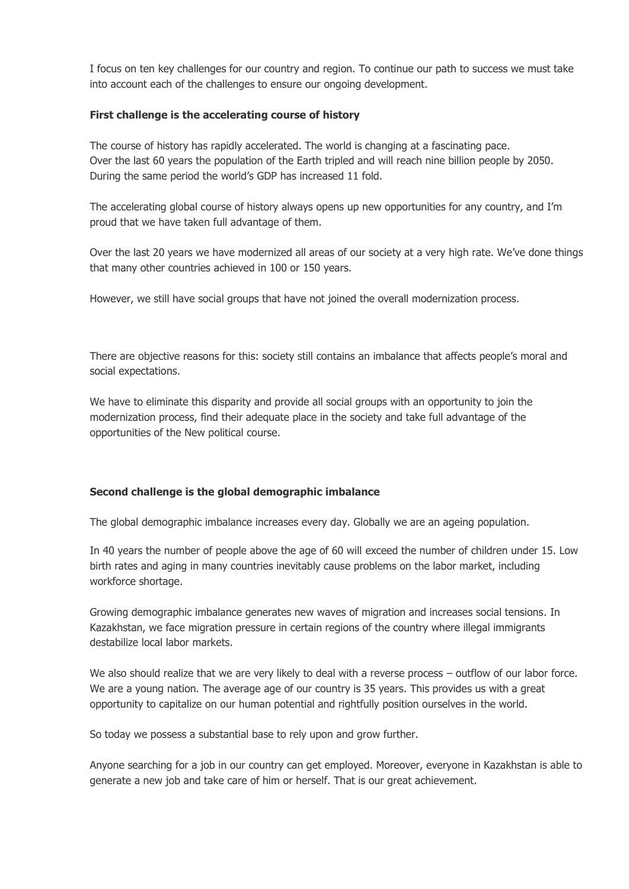I focus on ten key challenges for our country and region. To continue our path to success we must take into account each of the challenges to ensure our ongoing development.

### **First challenge is the accelerating course of history**

The course of history has rapidly accelerated. The world is changing at a fascinating pace. Over the last 60 years the population of the Earth tripled and will reach nine billion people by 2050. During the same period the world's GDP has increased 11 fold.

The accelerating global course of history always opens up new opportunities for any country, and I'm proud that we have taken full advantage of them.

Over the last 20 years we have modernized all areas of our society at a very high rate. We've done things that many other countries achieved in 100 or 150 years.

However, we still have social groups that have not joined the overall modernization process.

There are objective reasons for this: society still contains an imbalance that affects people's moral and social expectations.

We have to eliminate this disparity and provide all social groups with an opportunity to join the modernization process, find their adequate place in the society and take full advantage of the opportunities of the New political course.

# **Second challenge is the global demographic imbalance**

The global demographic imbalance increases every day. Globally we are an ageing population.

In 40 years the number of people above the age of 60 will exceed the number of children under 15. Low birth rates and aging in many countries inevitably cause problems on the labor market, including workforce shortage.

Growing demographic imbalance generates new waves of migration and increases social tensions. In Kazakhstan, we face migration pressure in certain regions of the country where illegal immigrants destabilize local labor markets.

We also should realize that we are very likely to deal with a reverse process – outflow of our labor force. We are a young nation. The average age of our country is 35 years. This provides us with a great opportunity to capitalize on our human potential and rightfully position ourselves in the world.

So today we possess a substantial base to rely upon and grow further.

Anyone searching for a job in our country can get employed. Moreover, everyone in Kazakhstan is able to generate a new job and take care of him or herself. That is our great achievement.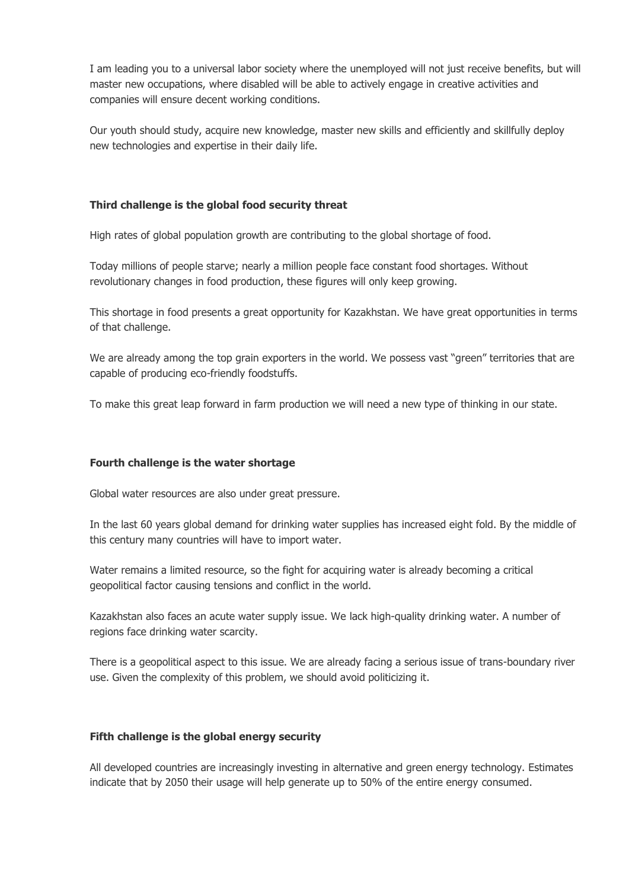I am leading you to a universal labor society where the unemployed will not just receive benefits, but will master new occupations, where disabled will be able to actively engage in creative activities and companies will ensure decent working conditions.

Our youth should study, acquire new knowledge, master new skills and efficiently and skillfully deploy new technologies and expertise in their daily life.

### **Third challenge is the global food security threat**

High rates of global population growth are contributing to the global shortage of food.

Today millions of people starve; nearly a million people face constant food shortages. Without revolutionary changes in food production, these figures will only keep growing.

This shortage in food presents a great opportunity for Kazakhstan. We have great opportunities in terms of that challenge.

We are already among the top grain exporters in the world. We possess vast "green" territories that are capable of producing eco-friendly foodstuffs.

To make this great leap forward in farm production we will need a new type of thinking in our state.

#### **Fourth challenge is the water shortage**

Global water resources are also under great pressure.

In the last 60 years global demand for drinking water supplies has increased eight fold. By the middle of this century many countries will have to import water.

Water remains a limited resource, so the fight for acquiring water is already becoming a critical geopolitical factor causing tensions and conflict in the world.

Kazakhstan also faces an acute water supply issue. We lack high-quality drinking water. A number of regions face drinking water scarcity.

There is a geopolitical aspect to this issue. We are already facing a serious issue of trans-boundary river use. Given the complexity of this problem, we should avoid politicizing it.

#### **Fifth challenge is the global energy security**

All developed countries are increasingly investing in alternative and green energy technology. Estimates indicate that by 2050 their usage will help generate up to 50% of the entire energy consumed.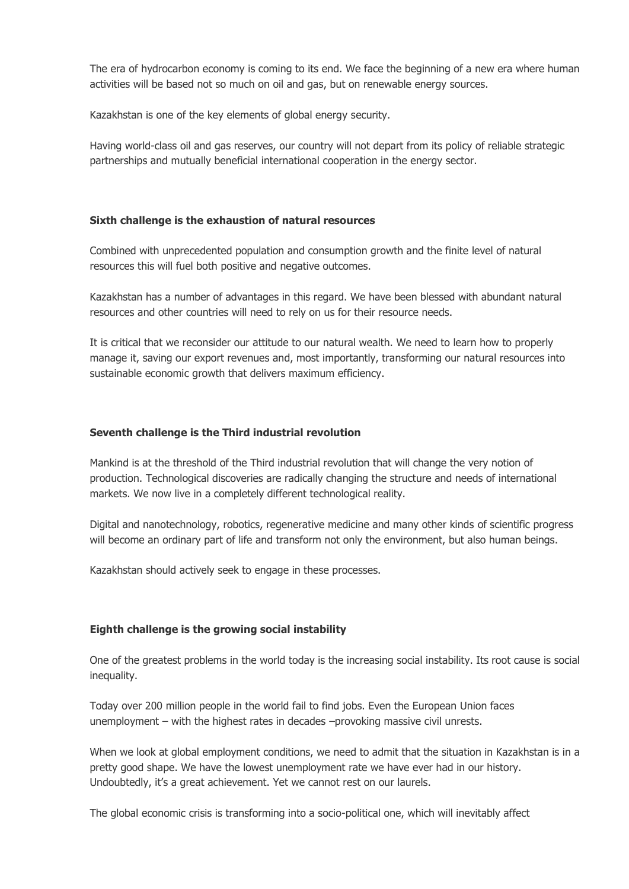The era of hydrocarbon economy is coming to its end. We face the beginning of a new era where human activities will be based not so much on oil and gas, but on renewable energy sources.

Kazakhstan is one of the key elements of global energy security.

Having world-class oil and gas reserves, our country will not depart from its policy of reliable strategic partnerships and mutually beneficial international cooperation in the energy sector.

### **Sixth challenge is the exhaustion of natural resources**

Combined with unprecedented population and consumption growth and the finite level of natural resources this will fuel both positive and negative outcomes.

Kazakhstan has a number of advantages in this regard. We have been blessed with abundant natural resources and other countries will need to rely on us for their resource needs.

It is critical that we reconsider our attitude to our natural wealth. We need to learn how to properly manage it, saving our export revenues and, most importantly, transforming our natural resources into sustainable economic growth that delivers maximum efficiency.

### **Seventh challenge is the Third industrial revolution**

Mankind is at the threshold of the Third industrial revolution that will change the very notion of production. Technological discoveries are radically changing the structure and needs of international markets. We now live in a completely different technological reality.

Digital and nanotechnology, robotics, regenerative medicine and many other kinds of scientific progress will become an ordinary part of life and transform not only the environment, but also human beings.

Kazakhstan should actively seek to engage in these processes.

# **Eighth challenge is the growing social instability**

One of the greatest problems in the world today is the increasing social instability. Its root cause is social inequality.

Today over 200 million people in the world fail to find jobs. Even the European Union faces unemployment – with the highest rates in decades –provoking massive civil unrests.

When we look at global employment conditions, we need to admit that the situation in Kazakhstan is in a pretty good shape. We have the lowest unemployment rate we have ever had in our history. Undoubtedly, it's a great achievement. Yet we cannot rest on our laurels.

The global economic crisis is transforming into a socio-political one, which will inevitably affect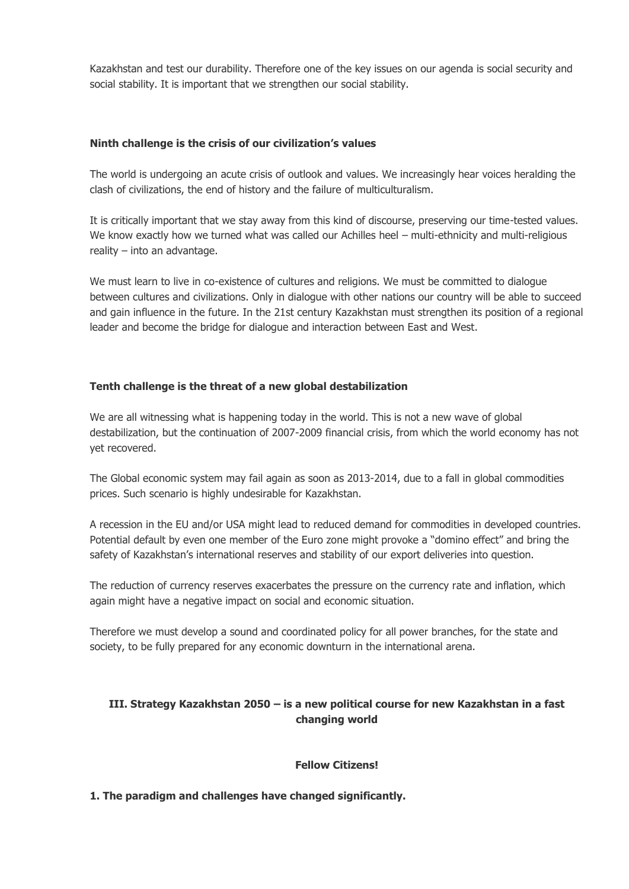Kazakhstan and test our durability. Therefore one of the key issues on our agenda is social security and social stability. It is important that we strengthen our social stability.

### **Ninth challenge is the crisis of our civilization's values**

The world is undergoing an acute crisis of outlook and values. We increasingly hear voices heralding the clash of civilizations, the end of history and the failure of multiculturalism.

It is critically important that we stay away from this kind of discourse, preserving our time-tested values. We know exactly how we turned what was called our Achilles heel – multi-ethnicity and multi-religious reality – into an advantage.

We must learn to live in co-existence of cultures and religions. We must be committed to dialogue between cultures and civilizations. Only in dialogue with other nations our country will be able to succeed and gain influence in the future. In the 21st century Kazakhstan must strengthen its position of a regional leader and become the bridge for dialogue and interaction between East and West.

# **Tenth challenge is the threat of a new global destabilization**

We are all witnessing what is happening today in the world. This is not a new wave of global destabilization, but the continuation of 2007-2009 financial crisis, from which the world economy has not yet recovered.

The Global economic system may fail again as soon as 2013-2014, due to a fall in global commodities prices. Such scenario is highly undesirable for Kazakhstan.

A recession in the EU and/or USA might lead to reduced demand for commodities in developed countries. Potential default by even one member of the Euro zone might provoke a "domino effect" and bring the safety of Kazakhstan's international reserves and stability of our export deliveries into question.

The reduction of currency reserves exacerbates the pressure on the currency rate and inflation, which again might have a negative impact on social and economic situation.

Therefore we must develop a sound and coordinated policy for all power branches, for the state and society, to be fully prepared for any economic downturn in the international arena.

# **III. Strategy Kazakhstan 2050 – is a new political course for new Kazakhstan in a fast changing world**

#### **Fellow Citizens!**

# **1. The paradigm and challenges have changed significantly.**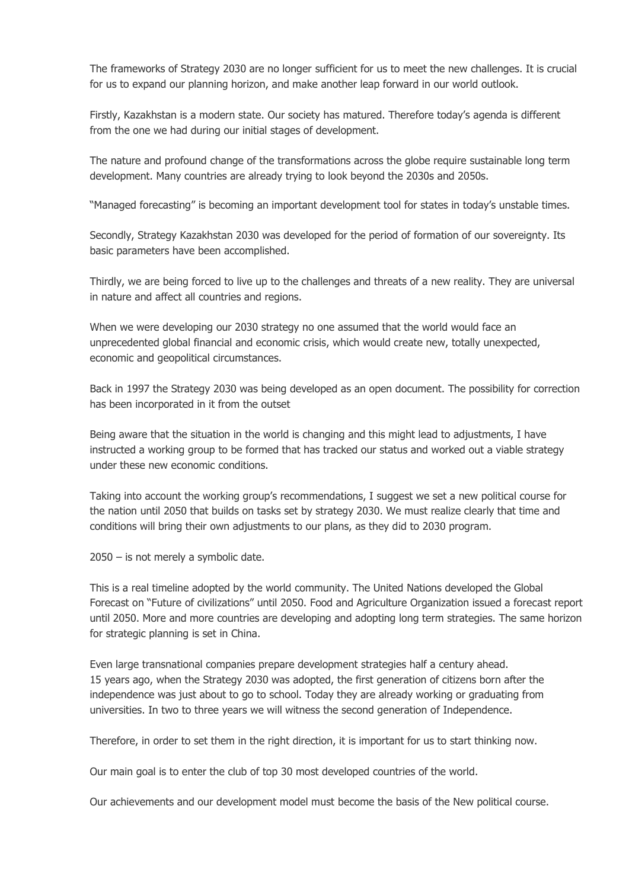The frameworks of Strategy 2030 are no longer sufficient for us to meet the new challenges. It is crucial for us to expand our planning horizon, and make another leap forward in our world outlook.

Firstly, Kazakhstan is a modern state. Our society has matured. Therefore today's agenda is different from the one we had during our initial stages of development.

The nature and profound change of the transformations across the globe require sustainable long term development. Many countries are already trying to look beyond the 2030s and 2050s.

"Managed forecasting" is becoming an important development tool for states in today's unstable times.

Secondly, Strategy Kazakhstan 2030 was developed for the period of formation of our sovereignty. Its basic parameters have been accomplished.

Thirdly, we are being forced to live up to the challenges and threats of a new reality. They are universal in nature and affect all countries and regions.

When we were developing our 2030 strategy no one assumed that the world would face an unprecedented global financial and economic crisis, which would create new, totally unexpected, economic and geopolitical circumstances.

Back in 1997 the Strategy 2030 was being developed as an open document. The possibility for correction has been incorporated in it from the outset

Being aware that the situation in the world is changing and this might lead to adjustments, I have instructed a working group to be formed that has tracked our status and worked out a viable strategy under these new economic conditions.

Taking into account the working group's recommendations, I suggest we set a new political course for the nation until 2050 that builds on tasks set by strategy 2030. We must realize clearly that time and conditions will bring their own adjustments to our plans, as they did to 2030 program.

2050 – is not merely a symbolic date.

This is a real timeline adopted by the world community. The United Nations developed the Global Forecast on "Future of civilizations" until 2050. Food and Agriculture Organization issued a forecast report until 2050. More and more countries are developing and adopting long term strategies. The same horizon for strategic planning is set in China.

Even large transnational companies prepare development strategies half a century ahead. 15 years ago, when the Strategy 2030 was adopted, the first generation of citizens born after the independence was just about to go to school. Today they are already working or graduating from universities. In two to three years we will witness the second generation of Independence.

Therefore, in order to set them in the right direction, it is important for us to start thinking now.

Our main goal is to enter the club of top 30 most developed countries of the world.

Our achievements and our development model must become the basis of the New political course.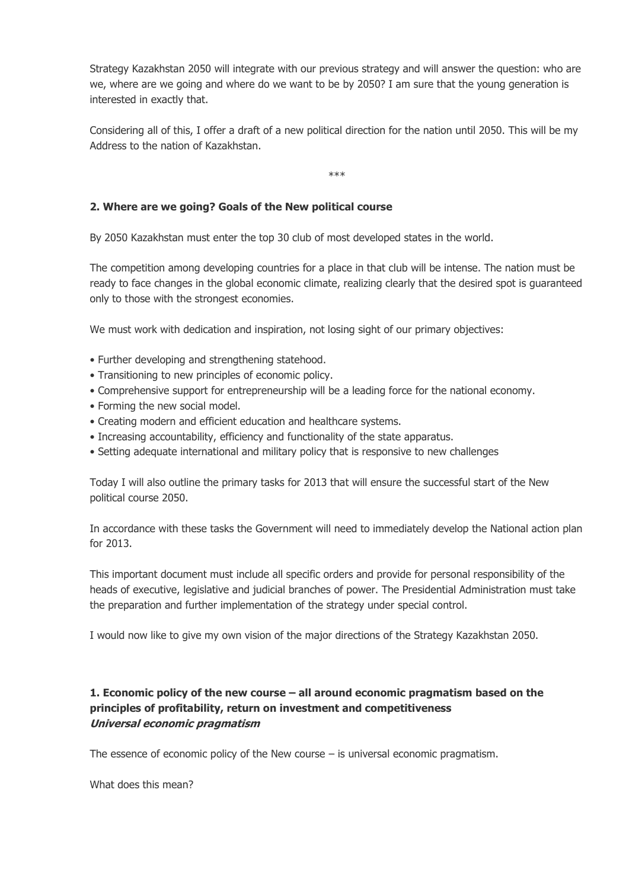Strategy Kazakhstan 2050 will integrate with our previous strategy and will answer the question: who are we, where are we going and where do we want to be by 2050? I am sure that the young generation is interested in exactly that.

Considering all of this, I offer a draft of a new political direction for the nation until 2050. This will be my Address to the nation of Kazakhstan.

\*\*\*

# **2. Where are we going? Goals of the New political course**

By 2050 Kazakhstan must enter the top 30 club of most developed states in the world.

The competition among developing countries for a place in that club will be intense. The nation must be ready to face changes in the global economic climate, realizing clearly that the desired spot is guaranteed only to those with the strongest economies.

We must work with dedication and inspiration, not losing sight of our primary objectives:

- Further developing and strengthening statehood.
- Transitioning to new principles of economic policy.
- Comprehensive support for entrepreneurship will be a leading force for the national economy.
- Forming the new social model.
- Creating modern and efficient education and healthcare systems.
- Increasing accountability, efficiency and functionality of the state apparatus.
- Setting adequate international and military policy that is responsive to new challenges

Today I will also outline the primary tasks for 2013 that will ensure the successful start of the New political course 2050.

In accordance with these tasks the Government will need to immediately develop the National action plan for 2013.

This important document must include all specific orders and provide for personal responsibility of the heads of executive, legislative and judicial branches of power. The Presidential Administration must take the preparation and further implementation of the strategy under special control.

I would now like to give my own vision of the major directions of the Strategy Kazakhstan 2050.

# **1. Economic policy of the new course – all around economic pragmatism based on the principles of profitability, return on investment and competitiveness Universal economic pragmatism**

The essence of economic policy of the New course  $-$  is universal economic pragmatism.

What does this mean?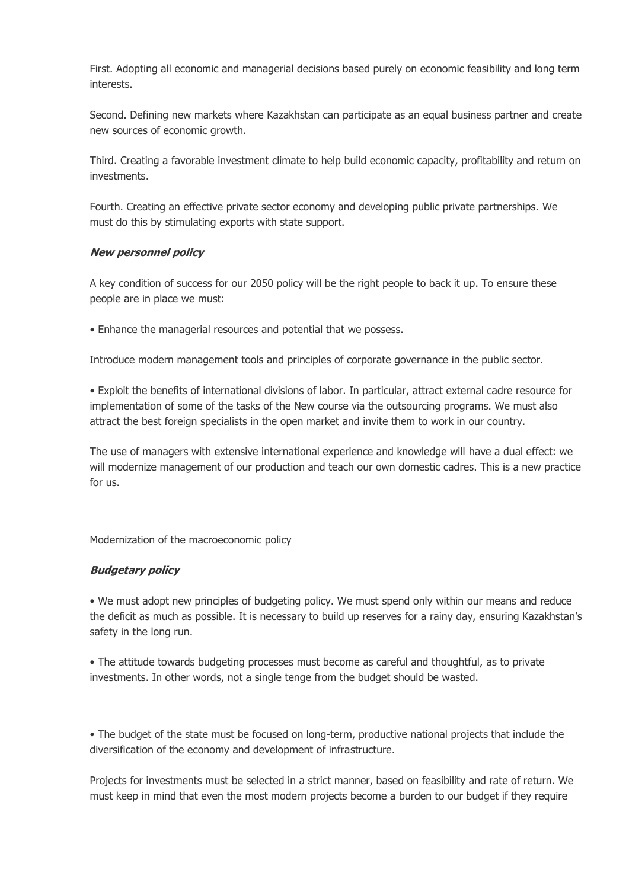First. Adopting all economic and managerial decisions based purely on economic feasibility and long term interests.

Second. Defining new markets where Kazakhstan can participate as an equal business partner and create new sources of economic growth.

Third. Creating a favorable investment climate to help build economic capacity, profitability and return on investments.

Fourth. Creating an effective private sector economy and developing public private partnerships. We must do this by stimulating exports with state support.

### **New personnel policy**

A key condition of success for our 2050 policy will be the right people to back it up. To ensure these people are in place we must:

• Enhance the managerial resources and potential that we possess.

Introduce modern management tools and principles of corporate governance in the public sector.

• Exploit the benefits of international divisions of labor. In particular, attract external cadre resource for implementation of some of the tasks of the New course via the outsourcing programs. We must also attract the best foreign specialists in the open market and invite them to work in our country.

The use of managers with extensive international experience and knowledge will have a dual effect: we will modernize management of our production and teach our own domestic cadres. This is a new practice for us.

Modernization of the macroeconomic policy

#### **Budgetary policy**

• We must adopt new principles of budgeting policy. We must spend only within our means and reduce the deficit as much as possible. It is necessary to build up reserves for a rainy day, ensuring Kazakhstan's safety in the long run.

• The attitude towards budgeting processes must become as careful and thoughtful, as to private investments. In other words, not a single tenge from the budget should be wasted.

• The budget of the state must be focused on long-term, productive national projects that include the diversification of the economy and development of infrastructure.

Projects for investments must be selected in a strict manner, based on feasibility and rate of return. We must keep in mind that even the most modern projects become a burden to our budget if they require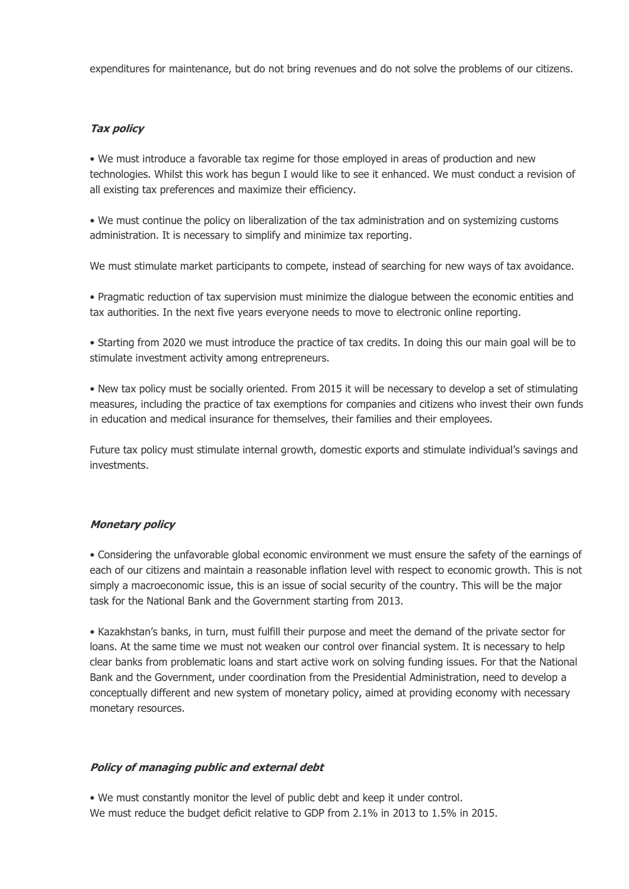expenditures for maintenance, but do not bring revenues and do not solve the problems of our citizens.

### **Tax policy**

• We must introduce a favorable tax regime for those employed in areas of production and new technologies. Whilst this work has begun I would like to see it enhanced. We must conduct a revision of all existing tax preferences and maximize their efficiency.

• We must continue the policy on liberalization of the tax administration and on systemizing customs administration. It is necessary to simplify and minimize tax reporting.

We must stimulate market participants to compete, instead of searching for new ways of tax avoidance.

• Pragmatic reduction of tax supervision must minimize the dialogue between the economic entities and tax authorities. In the next five years everyone needs to move to electronic online reporting.

• Starting from 2020 we must introduce the practice of tax credits. In doing this our main goal will be to stimulate investment activity among entrepreneurs.

• New tax policy must be socially oriented. From 2015 it will be necessary to develop a set of stimulating measures, including the practice of tax exemptions for companies and citizens who invest their own funds in education and medical insurance for themselves, their families and their employees.

Future tax policy must stimulate internal growth, domestic exports and stimulate individual's savings and investments.

#### **Monetary policy**

• Considering the unfavorable global economic environment we must ensure the safety of the earnings of each of our citizens and maintain a reasonable inflation level with respect to economic growth. This is not simply a macroeconomic issue, this is an issue of social security of the country. This will be the major task for the National Bank and the Government starting from 2013.

• Kazakhstan's banks, in turn, must fulfill their purpose and meet the demand of the private sector for loans. At the same time we must not weaken our control over financial system. It is necessary to help clear banks from problematic loans and start active work on solving funding issues. For that the National Bank and the Government, under coordination from the Presidential Administration, need to develop a conceptually different and new system of monetary policy, aimed at providing economy with necessary monetary resources.

#### **Policy of managing public and external debt**

• We must constantly monitor the level of public debt and keep it under control. We must reduce the budget deficit relative to GDP from 2.1% in 2013 to 1.5% in 2015.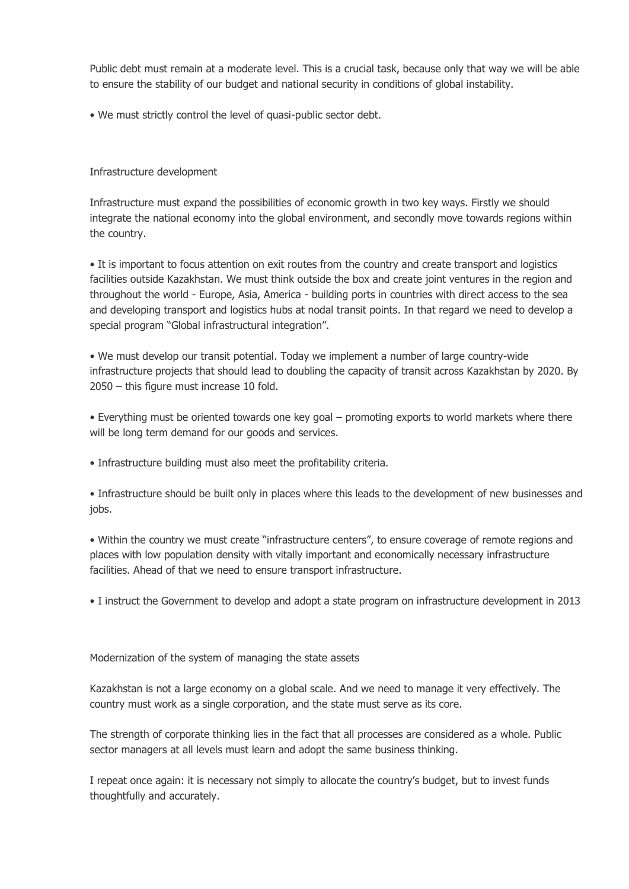Public debt must remain at a moderate level. This is a crucial task, because only that way we will be able to ensure the stability of our budget and national security in conditions of global instability.

• We must strictly control the level of quasi-public sector debt.

### Infrastructure development

Infrastructure must expand the possibilities of economic growth in two key ways. Firstly we should integrate the national economy into the global environment, and secondly move towards regions within the country.

• It is important to focus attention on exit routes from the country and create transport and logistics facilities outside Kazakhstan. We must think outside the box and create joint ventures in the region and throughout the world - Europe, Asia, America - building ports in countries with direct access to the sea and developing transport and logistics hubs at nodal transit points. In that regard we need to develop a special program "Global infrastructural integration".

• We must develop our transit potential. Today we implement a number of large country-wide infrastructure projects that should lead to doubling the capacity of transit across Kazakhstan by 2020. By 2050 – this figure must increase 10 fold.

• Everything must be oriented towards one key goal – promoting exports to world markets where there will be long term demand for our goods and services.

• Infrastructure building must also meet the profitability criteria.

• Infrastructure should be built only in places where this leads to the development of new businesses and jobs.

• Within the country we must create "infrastructure centers", to ensure coverage of remote regions and places with low population density with vitally important and economically necessary infrastructure facilities. Ahead of that we need to ensure transport infrastructure.

• I instruct the Government to develop and adopt a state program on infrastructure development in 2013

Modernization of the system of managing the state assets

Kazakhstan is not a large economy on a global scale. And we need to manage it very effectively. The country must work as a single corporation, and the state must serve as its core.

The strength of corporate thinking lies in the fact that all processes are considered as a whole. Public sector managers at all levels must learn and adopt the same business thinking.

I repeat once again: it is necessary not simply to allocate the country's budget, but to invest funds thoughtfully and accurately.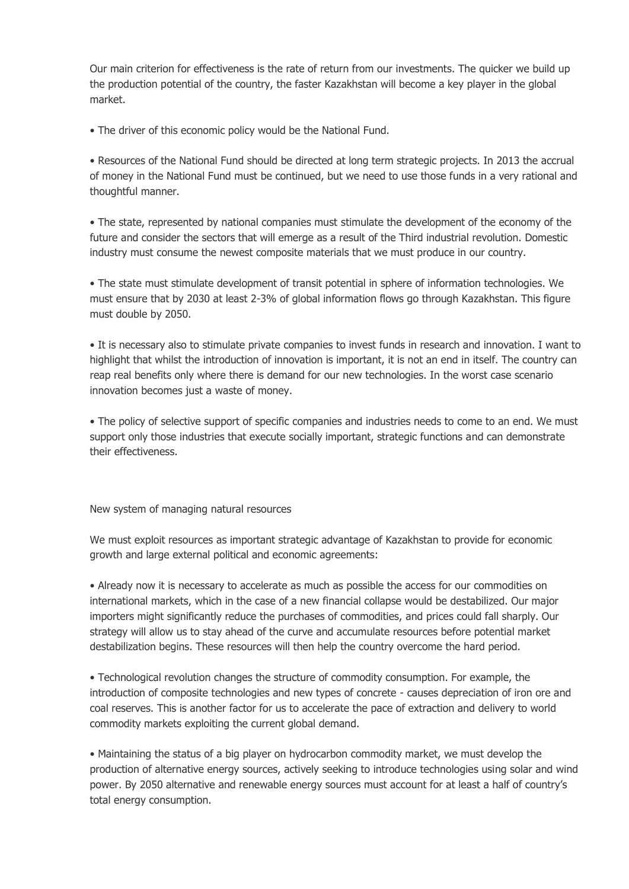Our main criterion for effectiveness is the rate of return from our investments. The quicker we build up the production potential of the country, the faster Kazakhstan will become a key player in the global market.

• The driver of this economic policy would be the National Fund.

• Resources of the National Fund should be directed at long term strategic projects. In 2013 the accrual of money in the National Fund must be continued, but we need to use those funds in a very rational and thoughtful manner.

• The state, represented by national companies must stimulate the development of the economy of the future and consider the sectors that will emerge as a result of the Third industrial revolution. Domestic industry must consume the newest composite materials that we must produce in our country.

• The state must stimulate development of transit potential in sphere of information technologies. We must ensure that by 2030 at least 2-3% of global information flows go through Kazakhstan. This figure must double by 2050.

• It is necessary also to stimulate private companies to invest funds in research and innovation. I want to highlight that whilst the introduction of innovation is important, it is not an end in itself. The country can reap real benefits only where there is demand for our new technologies. In the worst case scenario innovation becomes just a waste of money.

• The policy of selective support of specific companies and industries needs to come to an end. We must support only those industries that execute socially important, strategic functions and can demonstrate their effectiveness.

New system of managing natural resources

We must exploit resources as important strategic advantage of Kazakhstan to provide for economic growth and large external political and economic agreements:

• Already now it is necessary to accelerate as much as possible the access for our commodities on international markets, which in the case of a new financial collapse would be destabilized. Our major importers might significantly reduce the purchases of commodities, and prices could fall sharply. Our strategy will allow us to stay ahead of the curve and accumulate resources before potential market destabilization begins. These resources will then help the country overcome the hard period.

• Technological revolution changes the structure of commodity consumption. For example, the introduction of composite technologies and new types of concrete - causes depreciation of iron ore and coal reserves. This is another factor for us to accelerate the pace of extraction and delivery to world commodity markets exploiting the current global demand.

• Maintaining the status of a big player on hydrocarbon commodity market, we must develop the production of alternative energy sources, actively seeking to introduce technologies using solar and wind power. By 2050 alternative and renewable energy sources must account for at least a half of country's total energy consumption.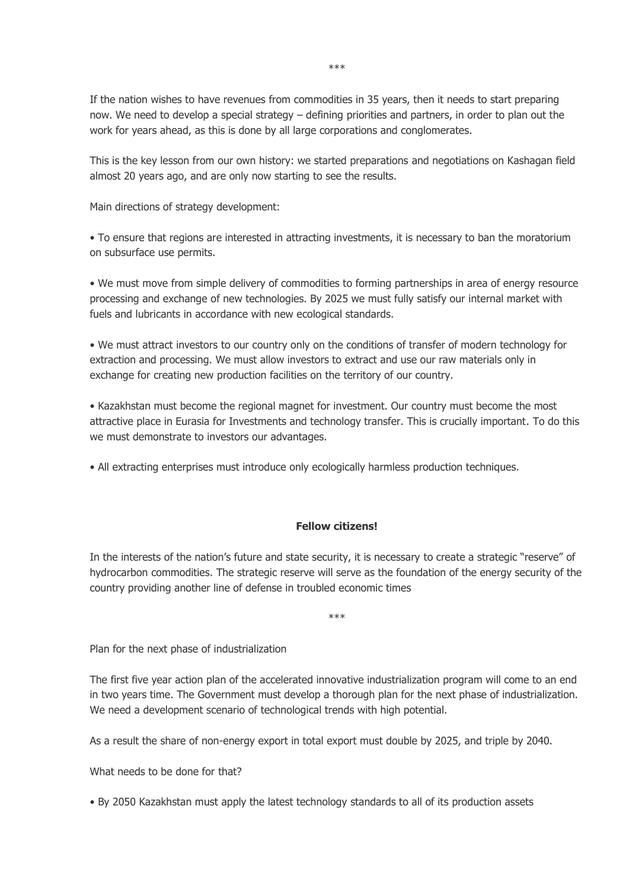If the nation wishes to have revenues from commodities in 35 years, then it needs to start preparing now. We need to develop a special strategy – defining priorities and partners, in order to plan out the work for years ahead, as this is done by all large corporations and conglomerates.

This is the key lesson from our own history: we started preparations and negotiations on Kashagan field almost 20 years ago, and are only now starting to see the results.

Main directions of strategy development:

• To ensure that regions are interested in attracting investments, it is necessary to ban the moratorium on subsurface use permits.

• We must move from simple delivery of commodities to forming partnerships in area of energy resource processing and exchange of new technologies. By 2025 we must fully satisfy our internal market with fuels and lubricants in accordance with new ecological standards.

• We must attract investors to our country only on the conditions of transfer of modern technology for extraction and processing. We must allow investors to extract and use our raw materials only in exchange for creating new production facilities on the territory of our country.

• Kazakhstan must become the regional magnet for investment. Our country must become the most attractive place in Eurasia for Investments and technology transfer. This is crucially important. To do this we must demonstrate to investors our advantages.

• All extracting enterprises must introduce only ecologically harmless production techniques.

# **Fellow citizens!**

In the interests of the nation's future and state security, it is necessary to create a strategic "reserve" of hydrocarbon commodities. The strategic reserve will serve as the foundation of the energy security of the country providing another line of defense in troubled economic times

\*\*\*

Plan for the next phase of industrialization

The first five year action plan of the accelerated innovative industrialization program will come to an end in two years time. The Government must develop a thorough plan for the next phase of industrialization. We need a development scenario of technological trends with high potential.

As a result the share of non-energy export in total export must double by 2025, and triple by 2040.

What needs to be done for that?

• By 2050 Kazakhstan must apply the latest technology standards to all of its production assets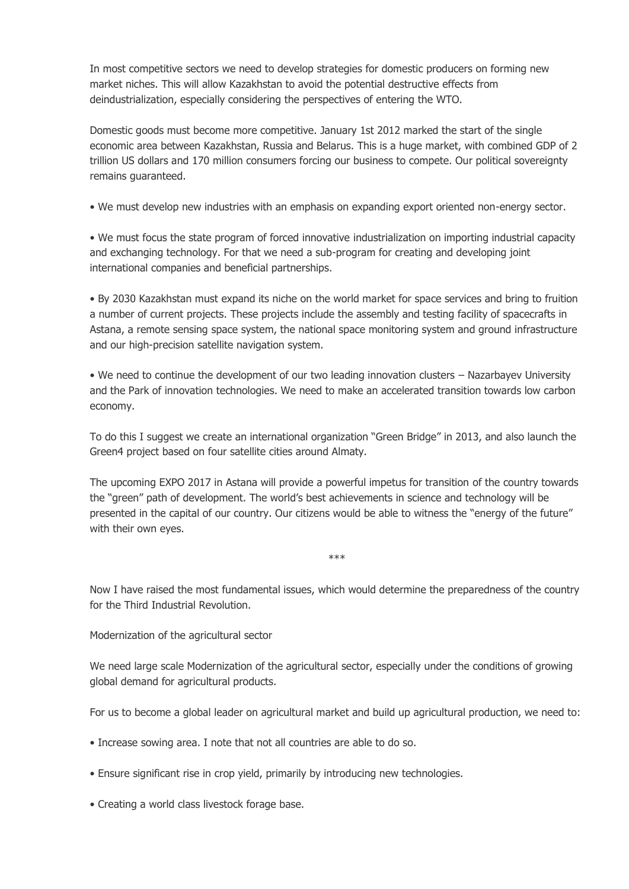In most competitive sectors we need to develop strategies for domestic producers on forming new market niches. This will allow Kazakhstan to avoid the potential destructive effects from deindustrialization, especially considering the perspectives of entering the WTO.

Domestic goods must become more competitive. January 1st 2012 marked the start of the single economic area between Kazakhstan, Russia and Belarus. This is a huge market, with combined GDP of 2 trillion US dollars and 170 million consumers forcing our business to compete. Our political sovereignty remains guaranteed.

• We must develop new industries with an emphasis on expanding export oriented non-energy sector.

• We must focus the state program of forced innovative industrialization on importing industrial capacity and exchanging technology. For that we need a sub-program for creating and developing joint international companies and beneficial partnerships.

• By 2030 Kazakhstan must expand its niche on the world market for space services and bring to fruition a number of current projects. These projects include the assembly and testing facility of spacecrafts in Astana, a remote sensing space system, the national space monitoring system and ground infrastructure and our high-precision satellite navigation system.

• We need to continue the development of our two leading innovation clusters – Nazarbayev University and the Park of innovation technologies. We need to make an accelerated transition towards low carbon economy.

To do this I suggest we create an international organization "Green Bridge" in 2013, and also launch the Green4 project based on four satellite cities around Almaty.

The upcoming EXPO 2017 in Astana will provide a powerful impetus for transition of the country towards the "green" path of development. The world's best achievements in science and technology will be presented in the capital of our country. Our citizens would be able to witness the "energy of the future" with their own eyes.

\*\*\*

Now I have raised the most fundamental issues, which would determine the preparedness of the country for the Third Industrial Revolution.

Modernization of the agricultural sector

We need large scale Modernization of the agricultural sector, especially under the conditions of growing global demand for agricultural products.

For us to become a global leader on agricultural market and build up agricultural production, we need to:

- Increase sowing area. I note that not all countries are able to do so.
- Ensure significant rise in crop yield, primarily by introducing new technologies.
- Creating a world class livestock forage base.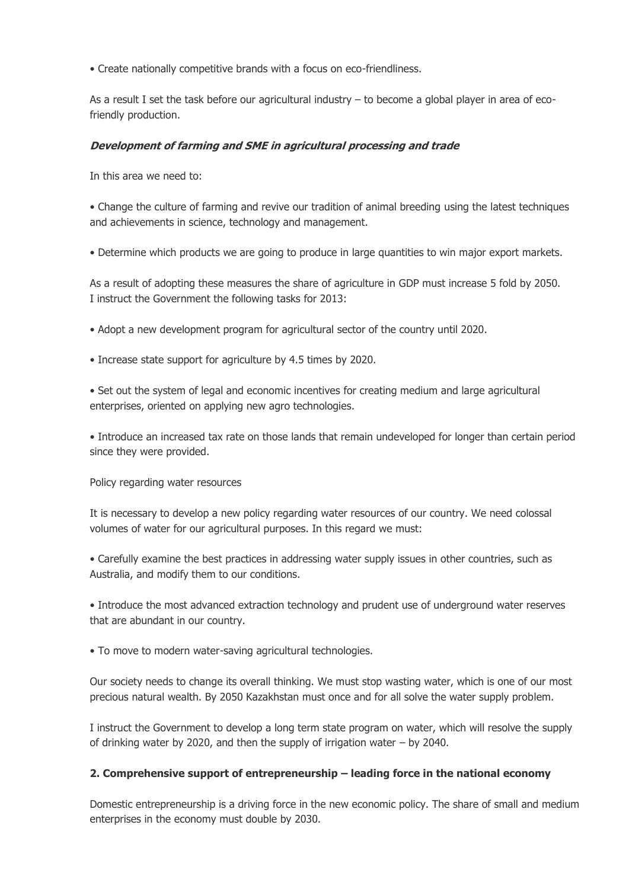• Create nationally competitive brands with a focus on eco-friendliness.

As a result I set the task before our agricultural industry  $-$  to become a global player in area of ecofriendly production.

### **Development of farming and SME in agricultural processing and trade**

In this area we need to:

• Change the culture of farming and revive our tradition of animal breeding using the latest techniques and achievements in science, technology and management.

• Determine which products we are going to produce in large quantities to win major export markets.

As a result of adopting these measures the share of agriculture in GDP must increase 5 fold by 2050. I instruct the Government the following tasks for 2013:

• Adopt a new development program for agricultural sector of the country until 2020.

• Increase state support for agriculture by 4.5 times by 2020.

• Set out the system of legal and economic incentives for creating medium and large agricultural enterprises, oriented on applying new agro technologies.

• Introduce an increased tax rate on those lands that remain undeveloped for longer than certain period since they were provided.

Policy regarding water resources

It is necessary to develop a new policy regarding water resources of our country. We need colossal volumes of water for our agricultural purposes. In this regard we must:

• Carefully examine the best practices in addressing water supply issues in other countries, such as Australia, and modify them to our conditions.

• Introduce the most advanced extraction technology and prudent use of underground water reserves that are abundant in our country.

• To move to modern water-saving agricultural technologies.

Our society needs to change its overall thinking. We must stop wasting water, which is one of our most precious natural wealth. By 2050 Kazakhstan must once and for all solve the water supply problem.

I instruct the Government to develop a long term state program on water, which will resolve the supply of drinking water by 2020, and then the supply of irrigation water – by 2040.

#### **2. Comprehensive support of entrepreneurship – leading force in the national economy**

Domestic entrepreneurship is a driving force in the new economic policy. The share of small and medium enterprises in the economy must double by 2030.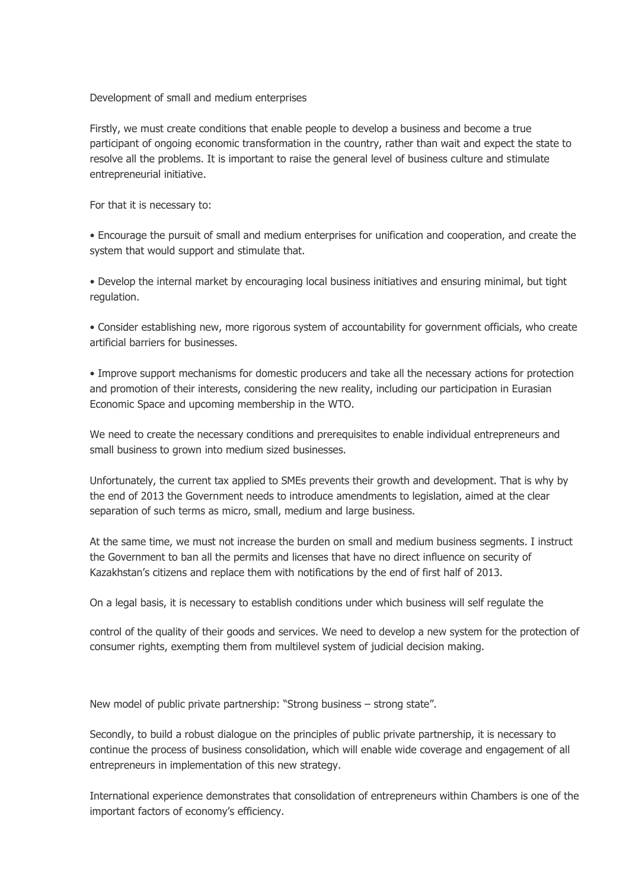Development of small and medium enterprises

Firstly, we must create conditions that enable people to develop a business and become a true participant of ongoing economic transformation in the country, rather than wait and expect the state to resolve all the problems. It is important to raise the general level of business culture and stimulate entrepreneurial initiative.

For that it is necessary to:

• Encourage the pursuit of small and medium enterprises for unification and cooperation, and create the system that would support and stimulate that.

• Develop the internal market by encouraging local business initiatives and ensuring minimal, but tight regulation.

• Consider establishing new, more rigorous system of accountability for government officials, who create artificial barriers for businesses.

• Improve support mechanisms for domestic producers and take all the necessary actions for protection and promotion of their interests, considering the new reality, including our participation in Eurasian Economic Space and upcoming membership in the WTO.

We need to create the necessary conditions and prerequisites to enable individual entrepreneurs and small business to grown into medium sized businesses.

Unfortunately, the current tax applied to SMEs prevents their growth and development. That is why by the end of 2013 the Government needs to introduce amendments to legislation, aimed at the clear separation of such terms as micro, small, medium and large business.

At the same time, we must not increase the burden on small and medium business segments. I instruct the Government to ban all the permits and licenses that have no direct influence on security of Kazakhstan's citizens and replace them with notifications by the end of first half of 2013.

On a legal basis, it is necessary to establish conditions under which business will self regulate the

control of the quality of their goods and services. We need to develop a new system for the protection of consumer rights, exempting them from multilevel system of judicial decision making.

New model of public private partnership: "Strong business – strong state".

Secondly, to build a robust dialogue on the principles of public private partnership, it is necessary to continue the process of business consolidation, which will enable wide coverage and engagement of all entrepreneurs in implementation of this new strategy.

International experience demonstrates that consolidation of entrepreneurs within Chambers is one of the important factors of economy's efficiency.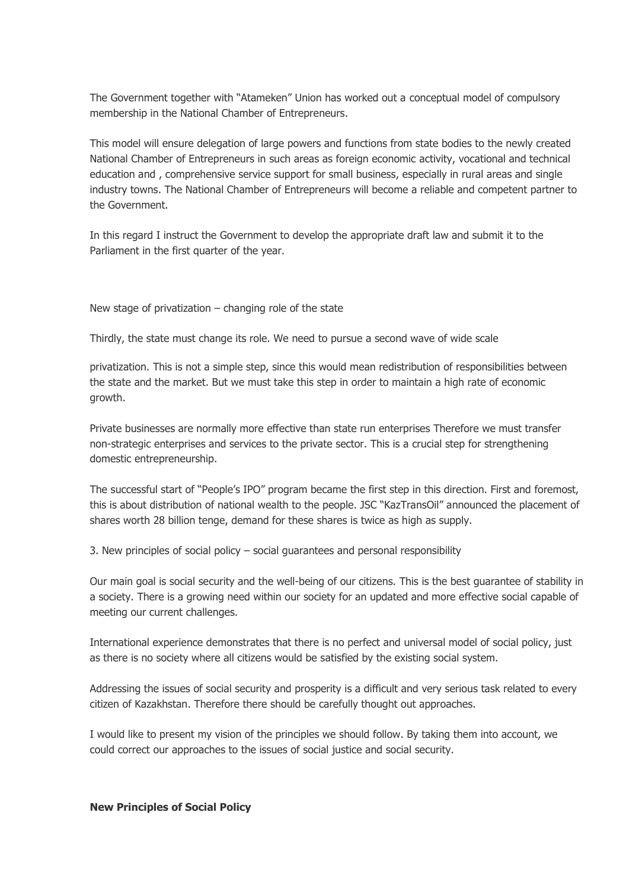The Government together with "Atameken" Union has worked out a conceptual model of compulsory membership in the National Chamber of Entrepreneurs.

This model will ensure delegation of large powers and functions from state bodies to the newly created National Chamber of Entrepreneurs in such areas as foreign economic activity, vocational and technical education and , comprehensive service support for small business, especially in rural areas and single industry towns. The National Chamber of Entrepreneurs will become a reliable and competent partner to the Government.

In this regard I instruct the Government to develop the appropriate draft law and submit it to the Parliament in the first quarter of the year.

New stage of privatization  $-$  changing role of the state

Thirdly, the state must change its role. We need to pursue a second wave of wide scale

privatization. This is not a simple step, since this would mean redistribution of responsibilities between the state and the market. But we must take this step in order to maintain a high rate of economic growth.

Private businesses are normally more effective than state run enterprises Therefore we must transfer non-strategic enterprises and services to the private sector. This is a crucial step for strengthening domestic entrepreneurship.

The successful start of "People's IPO" program became the first step in this direction. First and foremost, this is about distribution of national wealth to the people. JSC "KazTransOil" announced the placement of shares worth 28 billion tenge, demand for these shares is twice as high as supply.

3. New principles of social policy – social guarantees and personal responsibility

Our main goal is social security and the well-being of our citizens. This is the best guarantee of stability in a society. There is a growing need within our society for an updated and more effective social capable of meeting our current challenges.

International experience demonstrates that there is no perfect and universal model of social policy, just as there is no society where all citizens would be satisfied by the existing social system.

Addressing the issues of social security and prosperity is a difficult and very serious task related to every citizen of Kazakhstan. Therefore there should be carefully thought out approaches.

I would like to present my vision of the principles we should follow. By taking them into account, we could correct our approaches to the issues of social justice and social security.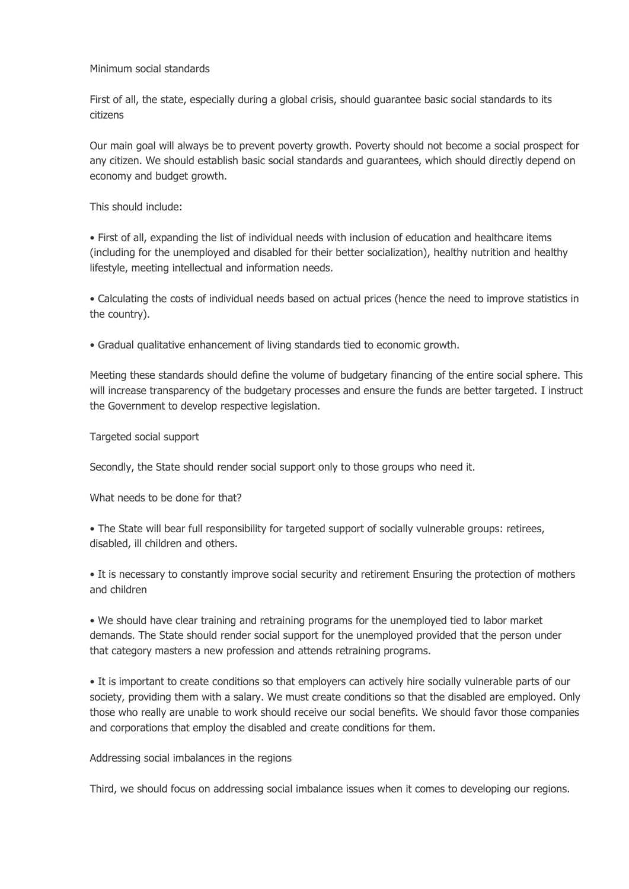### Minimum social standards

First of all, the state, especially during a global crisis, should guarantee basic social standards to its citizens

Our main goal will always be to prevent poverty growth. Poverty should not become a social prospect for any citizen. We should establish basic social standards and guarantees, which should directly depend on economy and budget growth.

This should include:

• First of all, expanding the list of individual needs with inclusion of education and healthcare items (including for the unemployed and disabled for their better socialization), healthy nutrition and healthy lifestyle, meeting intellectual and information needs.

• Calculating the costs of individual needs based on actual prices (hence the need to improve statistics in the country).

• Gradual qualitative enhancement of living standards tied to economic growth.

Meeting these standards should define the volume of budgetary financing of the entire social sphere. This will increase transparency of the budgetary processes and ensure the funds are better targeted. I instruct the Government to develop respective legislation.

Targeted social support

Secondly, the State should render social support only to those groups who need it.

What needs to be done for that?

• The State will bear full responsibility for targeted support of socially vulnerable groups: retirees, disabled, ill children and others.

• It is necessary to constantly improve social security and retirement Ensuring the protection of mothers and children

• We should have clear training and retraining programs for the unemployed tied to labor market demands. The State should render social support for the unemployed provided that the person under that category masters a new profession and attends retraining programs.

• It is important to create conditions so that employers can actively hire socially vulnerable parts of our society, providing them with a salary. We must create conditions so that the disabled are employed. Only those who really are unable to work should receive our social benefits. We should favor those companies and corporations that employ the disabled and create conditions for them.

#### Addressing social imbalances in the regions

Third, we should focus on addressing social imbalance issues when it comes to developing our regions.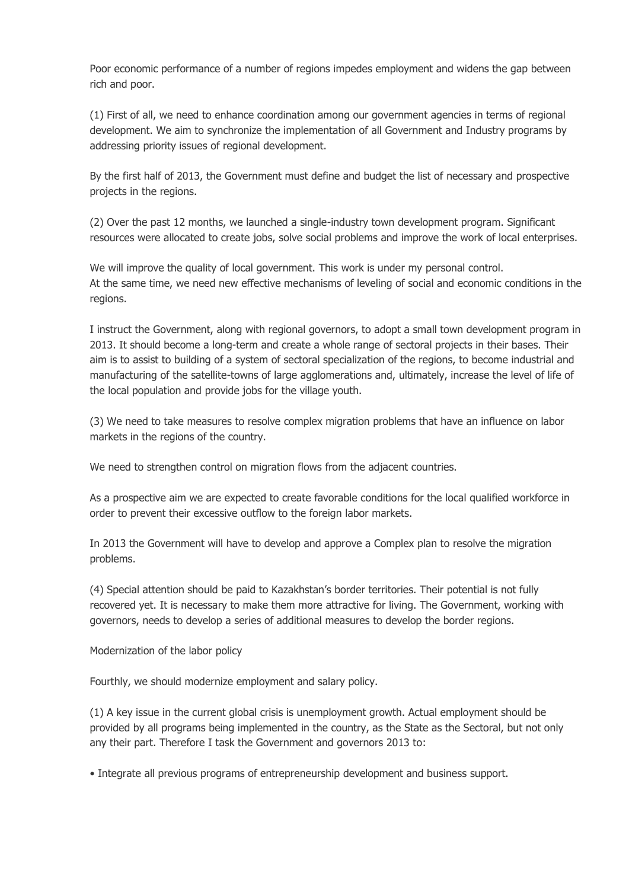Poor economic performance of a number of regions impedes employment and widens the gap between rich and poor.

(1) First of all, we need to enhance coordination among our government agencies in terms of regional development. We aim to synchronize the implementation of all Government and Industry programs by addressing priority issues of regional development.

By the first half of 2013, the Government must define and budget the list of necessary and prospective projects in the regions.

(2) Over the past 12 months, we launched a single-industry town development program. Significant resources were allocated to create jobs, solve social problems and improve the work of local enterprises.

We will improve the quality of local government. This work is under my personal control. At the same time, we need new effective mechanisms of leveling of social and economic conditions in the regions.

I instruct the Government, along with regional governors, to adopt a small town development program in 2013. It should become a long-term and create a whole range of sectoral projects in their bases. Their aim is to assist to building of a system of sectoral specialization of the regions, to become industrial and manufacturing of the satellite-towns of large agglomerations and, ultimately, increase the level of life of the local population and provide jobs for the village youth.

(3) We need to take measures to resolve complex migration problems that have an influence on labor markets in the regions of the country.

We need to strengthen control on migration flows from the adjacent countries.

As a prospective aim we are expected to create favorable conditions for the local qualified workforce in order to prevent their excessive outflow to the foreign labor markets.

In 2013 the Government will have to develop and approve a Complex plan to resolve the migration problems.

(4) Special attention should be paid to Kazakhstan's border territories. Their potential is not fully recovered yet. It is necessary to make them more attractive for living. The Government, working with governors, needs to develop a series of additional measures to develop the border regions.

Modernization of the labor policy

Fourthly, we should modernize employment and salary policy.

(1) A key issue in the current global crisis is unemployment growth. Actual employment should be provided by all programs being implemented in the country, as the State as the Sectoral, but not only any their part. Therefore I task the Government and governors 2013 to:

• Integrate all previous programs of entrepreneurship development and business support.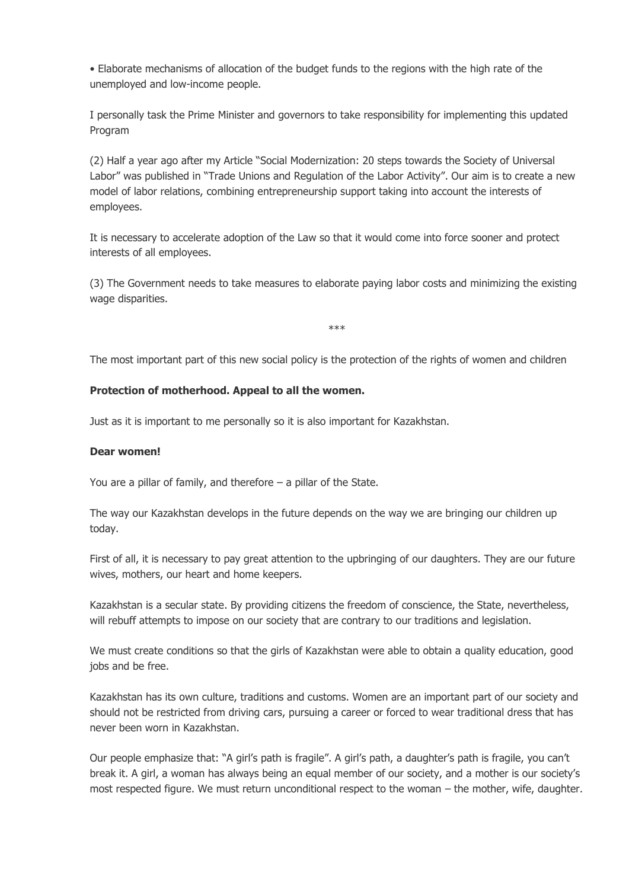• Elaborate mechanisms of allocation of the budget funds to the regions with the high rate of the unemployed and low-income people.

I personally task the Prime Minister and governors to take responsibility for implementing this updated Program

(2) Half a year ago after my Article "Social Modernization: 20 steps towards the Society of Universal Labor" was published in "Trade Unions and Regulation of the Labor Activity". Our aim is to create a new model of labor relations, combining entrepreneurship support taking into account the interests of employees.

It is necessary to accelerate adoption of the Law so that it would come into force sooner and protect interests of all employees.

(3) The Government needs to take measures to elaborate paying labor costs and minimizing the existing wage disparities.

\*\*\*

The most important part of this new social policy is the protection of the rights of women and children

#### **Protection of motherhood. Appeal to all the women.**

Just as it is important to me personally so it is also important for Kazakhstan.

#### **Dear women!**

You are a pillar of family, and therefore – a pillar of the State.

The way our Kazakhstan develops in the future depends on the way we are bringing our children up today.

First of all, it is necessary to pay great attention to the upbringing of our daughters. They are our future wives, mothers, our heart and home keepers.

Kazakhstan is a secular state. By providing citizens the freedom of conscience, the State, nevertheless, will rebuff attempts to impose on our society that are contrary to our traditions and legislation.

We must create conditions so that the girls of Kazakhstan were able to obtain a quality education, good jobs and be free.

Kazakhstan has its own culture, traditions and customs. Women are an important part of our society and should not be restricted from driving cars, pursuing a career or forced to wear traditional dress that has never been worn in Kazakhstan.

Our people emphasize that: "A girl's path is fragile". A girl's path, a daughter's path is fragile, you can't break it. A girl, a woman has always being an equal member of our society, and a mother is our society's most respected figure. We must return unconditional respect to the woman – the mother, wife, daughter.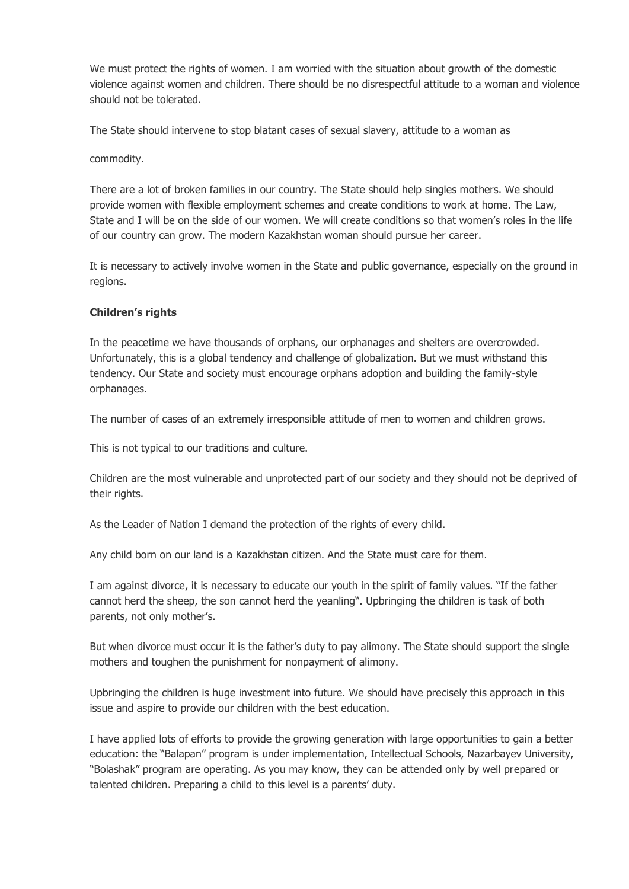We must protect the rights of women. I am worried with the situation about growth of the domestic violence against women and children. There should be no disrespectful attitude to a woman and violence should not be tolerated.

The State should intervene to stop blatant cases of sexual slavery, attitude to a woman as

commodity.

There are a lot of broken families in our country. The State should help singles mothers. We should provide women with flexible employment schemes and create conditions to work at home. The Law, State and I will be on the side of our women. We will create conditions so that women's roles in the life of our country can grow. The modern Kazakhstan woman should pursue her career.

It is necessary to actively involve women in the State and public governance, especially on the ground in regions.

#### **Children's rights**

In the peacetime we have thousands of orphans, our orphanages and shelters are overcrowded. Unfortunately, this is a global tendency and challenge of globalization. But we must withstand this tendency. Our State and society must encourage orphans adoption and building the family-style orphanages.

The number of cases of an extremely irresponsible attitude of men to women and children grows.

This is not typical to our traditions and culture.

Children are the most vulnerable and unprotected part of our society and they should not be deprived of their rights.

As the Leader of Nation I demand the protection of the rights of every child.

Any child born on our land is a Kazakhstan citizen. And the State must care for them.

I am against divorce, it is necessary to educate our youth in the spirit of family values. "If the father cannot herd the sheep, the son cannot herd the yeanling". Upbringing the children is task of both parents, not only mother's.

But when divorce must occur it is the father's duty to pay alimony. The State should support the single mothers and toughen the punishment for nonpayment of alimony.

Upbringing the children is huge investment into future. We should have precisely this approach in this issue and aspire to provide our children with the best education.

I have applied lots of efforts to provide the growing generation with large opportunities to gain a better education: the "Balapan" program is under implementation, Intellectual Schools, Nazarbayev University, "Bolashak" program are operating. As you may know, they can be attended only by well prepared or talented children. Preparing a child to this level is a parents' duty.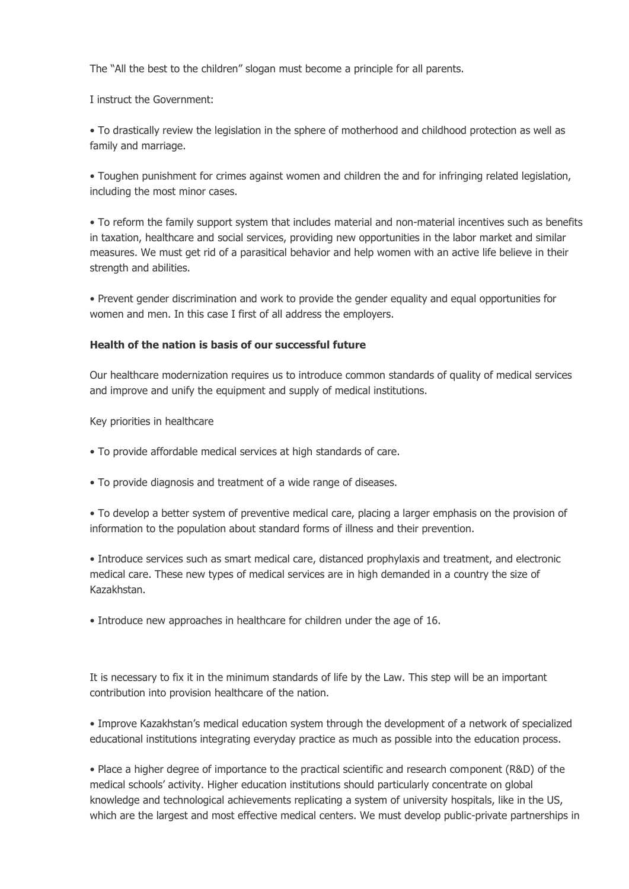The "All the best to the children" slogan must become a principle for all parents.

I instruct the Government:

• To drastically review the legislation in the sphere of motherhood and childhood protection as well as family and marriage.

• Toughen punishment for crimes against women and children the and for infringing related legislation, including the most minor cases.

• To reform the family support system that includes material and non-material incentives such as benefits in taxation, healthcare and social services, providing new opportunities in the labor market and similar measures. We must get rid of a parasitical behavior and help women with an active life believe in their strength and abilities.

• Prevent gender discrimination and work to provide the gender equality and equal opportunities for women and men. In this case I first of all address the employers.

### **Health of the nation is basis of our successful future**

Our healthcare modernization requires us to introduce common standards of quality of medical services and improve and unify the equipment and supply of medical institutions.

Key priorities in healthcare

- To provide affordable medical services at high standards of care.
- To provide diagnosis and treatment of a wide range of diseases.

• To develop a better system of preventive medical care, placing a larger emphasis on the provision of information to the population about standard forms of illness and their prevention.

• Introduce services such as smart medical care, distanced prophylaxis and treatment, and electronic medical care. These new types of medical services are in high demanded in a country the size of Kazakhstan.

• Introduce new approaches in healthcare for children under the age of 16.

It is necessary to fix it in the minimum standards of life by the Law. This step will be an important contribution into provision healthcare of the nation.

• Improve Kazakhstan's medical education system through the development of a network of specialized educational institutions integrating everyday practice as much as possible into the education process.

• Place a higher degree of importance to the practical scientific and research component (R&D) of the medical schools' activity. Higher education institutions should particularly concentrate on global knowledge and technological achievements replicating a system of university hospitals, like in the US, which are the largest and most effective medical centers. We must develop public-private partnerships in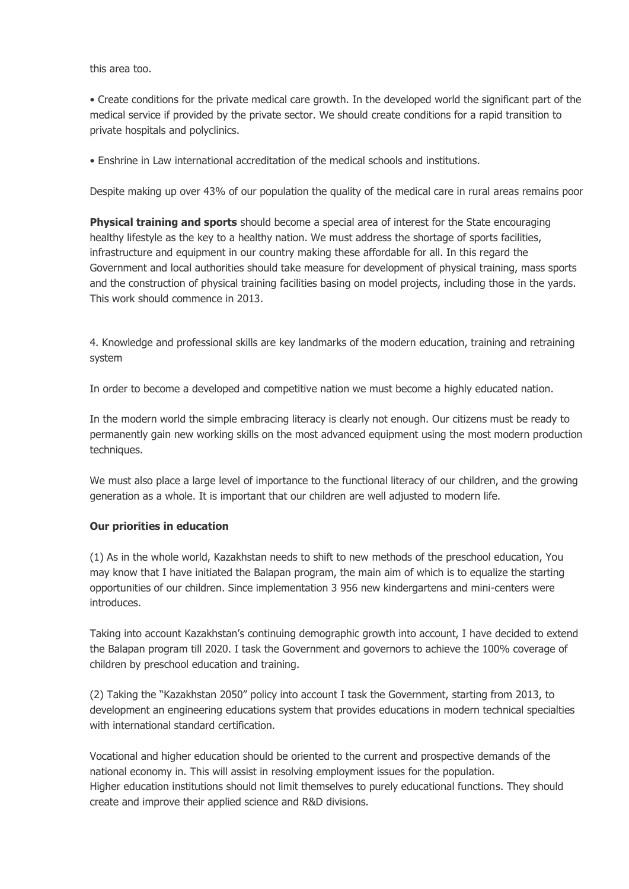this area too.

• Create conditions for the private medical care growth. In the developed world the significant part of the medical service if provided by the private sector. We should create conditions for a rapid transition to private hospitals and polyclinics.

• Enshrine in Law international accreditation of the medical schools and institutions.

Despite making up over 43% of our population the quality of the medical care in rural areas remains poor

**Physical training and sports** should become a special area of interest for the State encouraging healthy lifestyle as the key to a healthy nation. We must address the shortage of sports facilities, infrastructure and equipment in our country making these affordable for all. In this regard the Government and local authorities should take measure for development of physical training, mass sports and the construction of physical training facilities basing on model projects, including those in the yards. This work should commence in 2013.

4. Knowledge and professional skills are key landmarks of the modern education, training and retraining system

In order to become a developed and competitive nation we must become a highly educated nation.

In the modern world the simple embracing literacy is clearly not enough. Our citizens must be ready to permanently gain new working skills on the most advanced equipment using the most modern production techniques.

We must also place a large level of importance to the functional literacy of our children, and the growing generation as a whole. It is important that our children are well adjusted to modern life.

#### **Our priorities in education**

(1) As in the whole world, Kazakhstan needs to shift to new methods of the preschool education, You may know that I have initiated the Balapan program, the main aim of which is to equalize the starting opportunities of our children. Since implementation 3 956 new kindergartens and mini-centers were introduces.

Taking into account Kazakhstan's continuing demographic growth into account, I have decided to extend the Balapan program till 2020. I task the Government and governors to achieve the 100% coverage of children by preschool education and training.

(2) Taking the "Kazakhstan 2050" policy into account I task the Government, starting from 2013, to development an engineering educations system that provides educations in modern technical specialties with international standard certification.

Vocational and higher education should be oriented to the current and prospective demands of the national economy in. This will assist in resolving employment issues for the population. Higher education institutions should not limit themselves to purely educational functions. They should create and improve their applied science and R&D divisions.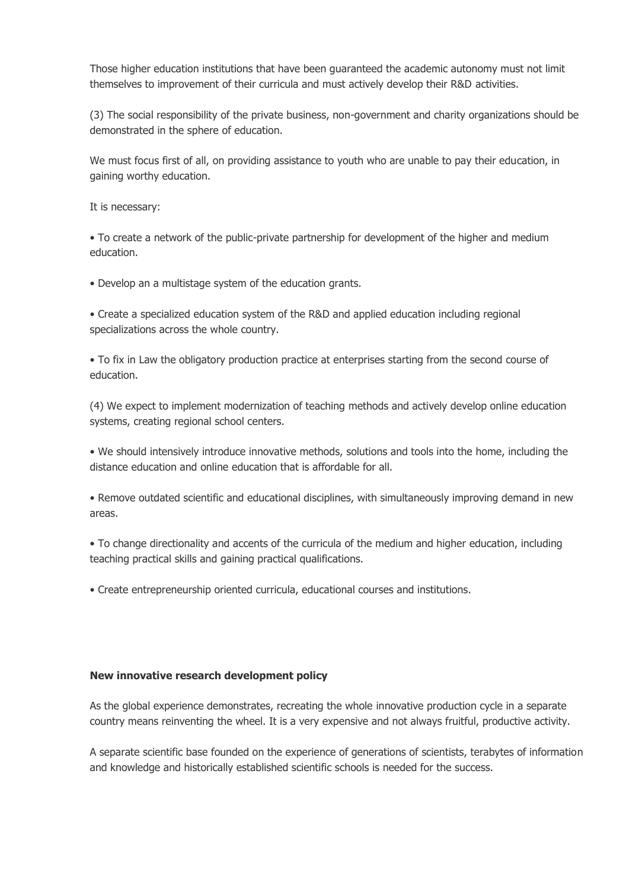Those higher education institutions that have been guaranteed the academic autonomy must not limit themselves to improvement of their curricula and must actively develop their R&D activities.

(3) The social responsibility of the private business, non-government and charity organizations should be demonstrated in the sphere of education.

We must focus first of all, on providing assistance to youth who are unable to pay their education, in gaining worthy education.

It is necessary:

• To create a network of the public-private partnership for development of the higher and medium education.

• Develop an a multistage system of the education grants.

• Create a specialized education system of the R&D and applied education including regional specializations across the whole country.

• To fix in Law the obligatory production practice at enterprises starting from the second course of education.

(4) We expect to implement modernization of teaching methods and actively develop online education systems, creating regional school centers.

• We should intensively introduce innovative methods, solutions and tools into the home, including the distance education and online education that is affordable for all.

• Remove outdated scientific and educational disciplines, with simultaneously improving demand in new areas.

• To change directionality and accents of the curricula of the medium and higher education, including teaching practical skills and gaining practical qualifications.

• Create entrepreneurship oriented curricula, educational courses and institutions.

#### **New innovative research development policy**

As the global experience demonstrates, recreating the whole innovative production cycle in a separate country means reinventing the wheel. It is a very expensive and not always fruitful, productive activity.

A separate scientific base founded on the experience of generations of scientists, terabytes of information and knowledge and historically established scientific schools is needed for the success.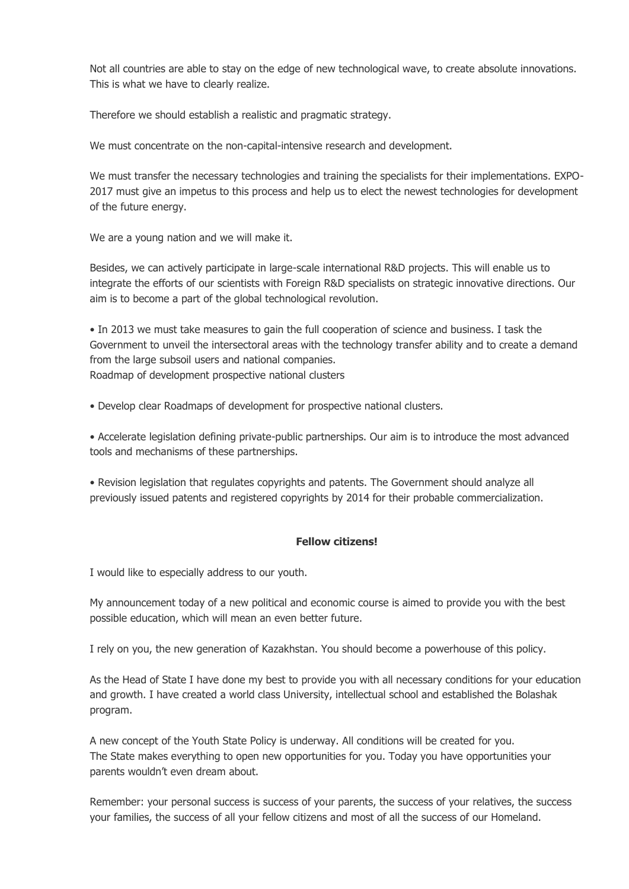Not all countries are able to stay on the edge of new technological wave, to create absolute innovations. This is what we have to clearly realize.

Therefore we should establish a realistic and pragmatic strategy.

We must concentrate on the non-capital-intensive research and development.

We must transfer the necessary technologies and training the specialists for their implementations. EXPO-2017 must give an impetus to this process and help us to elect the newest technologies for development of the future energy.

We are a young nation and we will make it.

Besides, we can actively participate in large-scale international R&D projects. This will enable us to integrate the efforts of our scientists with Foreign R&D specialists on strategic innovative directions. Our aim is to become a part of the global technological revolution.

• In 2013 we must take measures to gain the full cooperation of science and business. I task the Government to unveil the intersectoral areas with the technology transfer ability and to create a demand from the large subsoil users and national companies.

Roadmap of development prospective national clusters

• Develop clear Roadmaps of development for prospective national clusters.

• Accelerate legislation defining private-public partnerships. Our aim is to introduce the most advanced tools and mechanisms of these partnerships.

• Revision legislation that regulates copyrights and patents. The Government should analyze all previously issued patents and registered copyrights by 2014 for their probable commercialization.

# **Fellow citizens!**

I would like to especially address to our youth.

My announcement today of a new political and economic course is aimed to provide you with the best possible education, which will mean an even better future.

I rely on you, the new generation of Kazakhstan. You should become a powerhouse of this policy.

As the Head of State I have done my best to provide you with all necessary conditions for your education and growth. I have created a world class University, intellectual school and established the Bolashak program.

A new concept of the Youth State Policy is underway. All conditions will be created for you. The State makes everything to open new opportunities for you. Today you have opportunities your parents wouldn't even dream about.

Remember: your personal success is success of your parents, the success of your relatives, the success your families, the success of all your fellow citizens and most of all the success of our Homeland.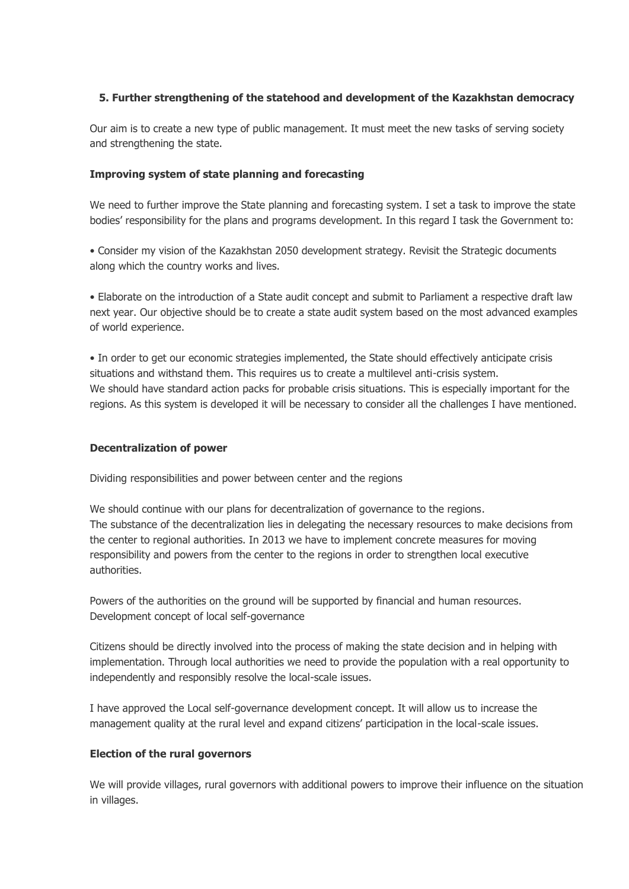### **5. Further strengthening of the statehood and development of the Kazakhstan democracy**

Our aim is to create a new type of public management. It must meet the new tasks of serving society and strengthening the state.

#### **Improving system of state planning and forecasting**

We need to further improve the State planning and forecasting system. I set a task to improve the state bodies' responsibility for the plans and programs development. In this regard I task the Government to:

• Consider my vision of the Kazakhstan 2050 development strategy. Revisit the Strategic documents along which the country works and lives.

• Elaborate on the introduction of a State audit concept and submit to Parliament a respective draft law next year. Our objective should be to create a state audit system based on the most advanced examples of world experience.

• In order to get our economic strategies implemented, the State should effectively anticipate crisis situations and withstand them. This requires us to create a multilevel anti-crisis system. We should have standard action packs for probable crisis situations. This is especially important for the regions. As this system is developed it will be necessary to consider all the challenges I have mentioned.

#### **Decentralization of power**

Dividing responsibilities and power between center and the regions

We should continue with our plans for decentralization of governance to the regions. The substance of the decentralization lies in delegating the necessary resources to make decisions from the center to regional authorities. In 2013 we have to implement concrete measures for moving responsibility and powers from the center to the regions in order to strengthen local executive authorities.

Powers of the authorities on the ground will be supported by financial and human resources. Development concept of local self-governance

Citizens should be directly involved into the process of making the state decision and in helping with implementation. Through local authorities we need to provide the population with a real opportunity to independently and responsibly resolve the local-scale issues.

I have approved the Local self-governance development concept. It will allow us to increase the management quality at the rural level and expand citizens' participation in the local-scale issues.

#### **Election of the rural governors**

We will provide villages, rural governors with additional powers to improve their influence on the situation in villages.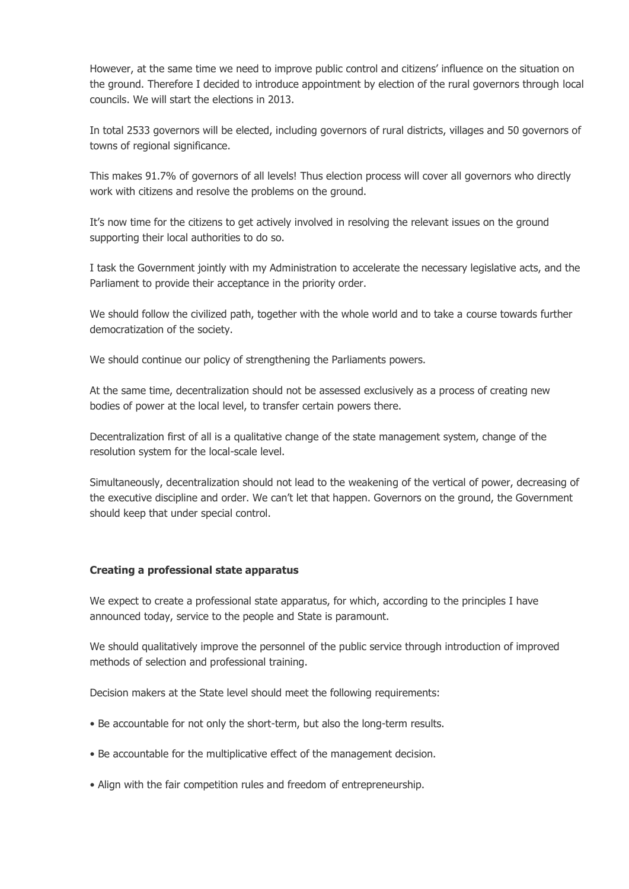However, at the same time we need to improve public control and citizens' influence on the situation on the ground. Therefore I decided to introduce appointment by election of the rural governors through local councils. We will start the elections in 2013.

In total 2533 governors will be elected, including governors of rural districts, villages and 50 governors of towns of regional significance.

This makes 91.7% of governors of all levels! Thus election process will cover all governors who directly work with citizens and resolve the problems on the ground.

It's now time for the citizens to get actively involved in resolving the relevant issues on the ground supporting their local authorities to do so.

I task the Government jointly with my Administration to accelerate the necessary legislative acts, and the Parliament to provide their acceptance in the priority order.

We should follow the civilized path, together with the whole world and to take a course towards further democratization of the society.

We should continue our policy of strengthening the Parliaments powers.

At the same time, decentralization should not be assessed exclusively as a process of creating new bodies of power at the local level, to transfer certain powers there.

Decentralization first of all is a qualitative change of the state management system, change of the resolution system for the local-scale level.

Simultaneously, decentralization should not lead to the weakening of the vertical of power, decreasing of the executive discipline and order. We can't let that happen. Governors on the ground, the Government should keep that under special control.

#### **Creating a professional state apparatus**

We expect to create a professional state apparatus, for which, according to the principles I have announced today, service to the people and State is paramount.

We should qualitatively improve the personnel of the public service through introduction of improved methods of selection and professional training.

Decision makers at the State level should meet the following requirements:

- Be accountable for not only the short-term, but also the long-term results.
- Be accountable for the multiplicative effect of the management decision.
- Align with the fair competition rules and freedom of entrepreneurship.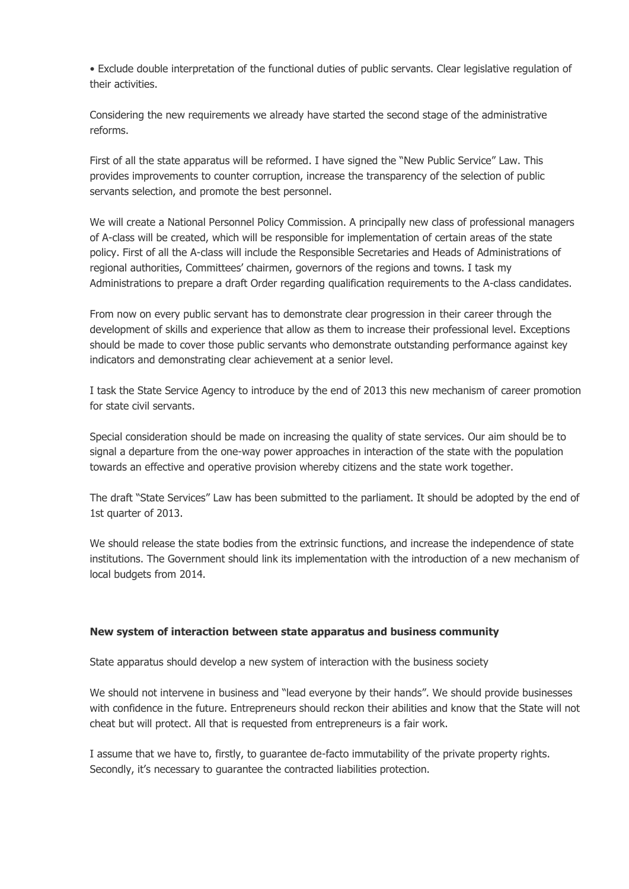• Exclude double interpretation of the functional duties of public servants. Clear legislative regulation of their activities.

Considering the new requirements we already have started the second stage of the administrative reforms.

First of all the state apparatus will be reformed. I have signed the "New Public Service" Law. This provides improvements to counter corruption, increase the transparency of the selection of public servants selection, and promote the best personnel.

We will create a National Personnel Policy Commission. A principally new class of professional managers of A-class will be created, which will be responsible for implementation of certain areas of the state policy. First of all the A-class will include the Responsible Secretaries and Heads of Administrations of regional authorities, Committees' chairmen, governors of the regions and towns. I task my Administrations to prepare a draft Order regarding qualification requirements to the A-class candidates.

From now on every public servant has to demonstrate clear progression in their career through the development of skills and experience that allow as them to increase their professional level. Exceptions should be made to cover those public servants who demonstrate outstanding performance against key indicators and demonstrating clear achievement at a senior level.

I task the State Service Agency to introduce by the end of 2013 this new mechanism of career promotion for state civil servants.

Special consideration should be made on increasing the quality of state services. Our aim should be to signal a departure from the one-way power approaches in interaction of the state with the population towards an effective and operative provision whereby citizens and the state work together.

The draft "State Services" Law has been submitted to the parliament. It should be adopted by the end of 1st quarter of 2013.

We should release the state bodies from the extrinsic functions, and increase the independence of state institutions. The Government should link its implementation with the introduction of a new mechanism of local budgets from 2014.

#### **New system of interaction between state apparatus and business community**

State apparatus should develop a new system of interaction with the business society

We should not intervene in business and "lead everyone by their hands". We should provide businesses with confidence in the future. Entrepreneurs should reckon their abilities and know that the State will not cheat but will protect. All that is requested from entrepreneurs is a fair work.

I assume that we have to, firstly, to guarantee de-facto immutability of the private property rights. Secondly, it's necessary to guarantee the contracted liabilities protection.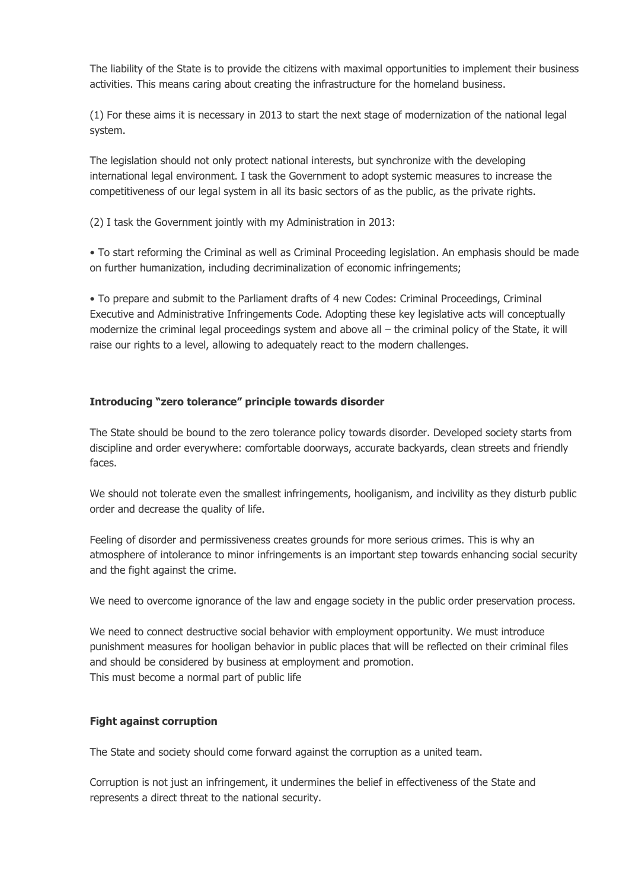The liability of the State is to provide the citizens with maximal opportunities to implement their business activities. This means caring about creating the infrastructure for the homeland business.

(1) For these aims it is necessary in 2013 to start the next stage of modernization of the national legal system.

The legislation should not only protect national interests, but synchronize with the developing international legal environment. I task the Government to adopt systemic measures to increase the competitiveness of our legal system in all its basic sectors of as the public, as the private rights.

(2) I task the Government jointly with my Administration in 2013:

• To start reforming the Criminal as well as Criminal Proceeding legislation. An emphasis should be made on further humanization, including decriminalization of economic infringements;

• To prepare and submit to the Parliament drafts of 4 new Codes: Criminal Proceedings, Criminal Executive and Administrative Infringements Code. Adopting these key legislative acts will conceptually modernize the criminal legal proceedings system and above all – the criminal policy of the State, it will raise our rights to a level, allowing to adequately react to the modern challenges.

# **Introducing "zero tolerance" principle towards disorder**

The State should be bound to the zero tolerance policy towards disorder. Developed society starts from discipline and order everywhere: comfortable doorways, accurate backyards, clean streets and friendly faces.

We should not tolerate even the smallest infringements, hooliganism, and incivility as they disturb public order and decrease the quality of life.

Feeling of disorder and permissiveness creates grounds for more serious crimes. This is why an atmosphere of intolerance to minor infringements is an important step towards enhancing social security and the fight against the crime.

We need to overcome ignorance of the law and engage society in the public order preservation process.

We need to connect destructive social behavior with employment opportunity. We must introduce punishment measures for hooligan behavior in public places that will be reflected on their criminal files and should be considered by business at employment and promotion. This must become a normal part of public life

# **Fight against corruption**

The State and society should come forward against the corruption as a united team.

Corruption is not just an infringement, it undermines the belief in effectiveness of the State and represents a direct threat to the national security.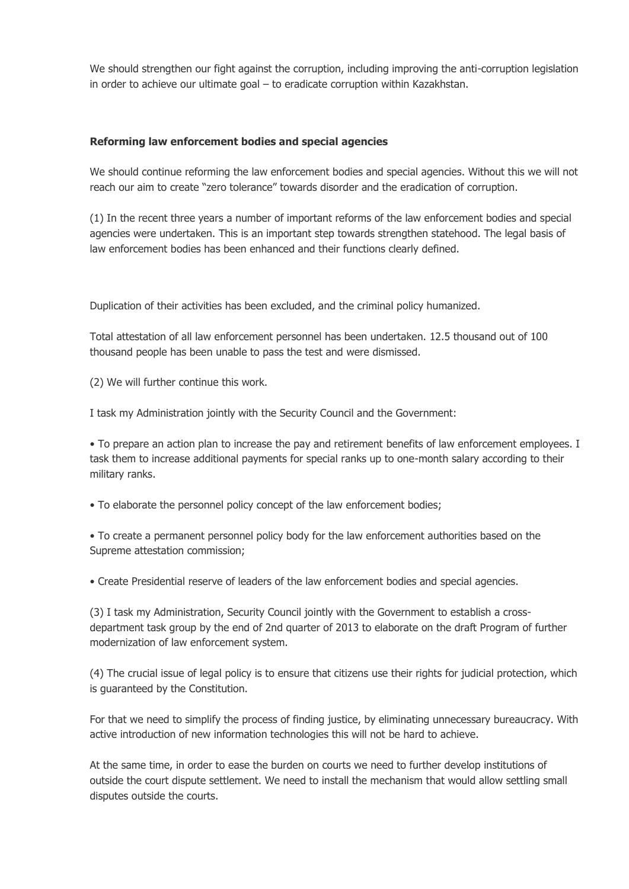We should strengthen our fight against the corruption, including improving the anti-corruption legislation in order to achieve our ultimate goal – to eradicate corruption within Kazakhstan.

#### **Reforming law enforcement bodies and special agencies**

We should continue reforming the law enforcement bodies and special agencies. Without this we will not reach our aim to create "zero tolerance" towards disorder and the eradication of corruption.

(1) In the recent three years a number of important reforms of the law enforcement bodies and special agencies were undertaken. This is an important step towards strengthen statehood. The legal basis of law enforcement bodies has been enhanced and their functions clearly defined.

Duplication of their activities has been excluded, and the criminal policy humanized.

Total attestation of all law enforcement personnel has been undertaken. 12.5 thousand out of 100 thousand people has been unable to pass the test and were dismissed.

(2) We will further continue this work.

I task my Administration jointly with the Security Council and the Government:

• To prepare an action plan to increase the pay and retirement benefits of law enforcement employees. I task them to increase additional payments for special ranks up to one-month salary according to their military ranks.

• To elaborate the personnel policy concept of the law enforcement bodies;

• To create a permanent personnel policy body for the law enforcement authorities based on the Supreme attestation commission;

• Create Presidential reserve of leaders of the law enforcement bodies and special agencies.

(3) I task my Administration, Security Council jointly with the Government to establish a crossdepartment task group by the end of 2nd quarter of 2013 to elaborate on the draft Program of further modernization of law enforcement system.

(4) The crucial issue of legal policy is to ensure that citizens use their rights for judicial protection, which is guaranteed by the Constitution.

For that we need to simplify the process of finding justice, by eliminating unnecessary bureaucracy. With active introduction of new information technologies this will not be hard to achieve.

At the same time, in order to ease the burden on courts we need to further develop institutions of outside the court dispute settlement. We need to install the mechanism that would allow settling small disputes outside the courts.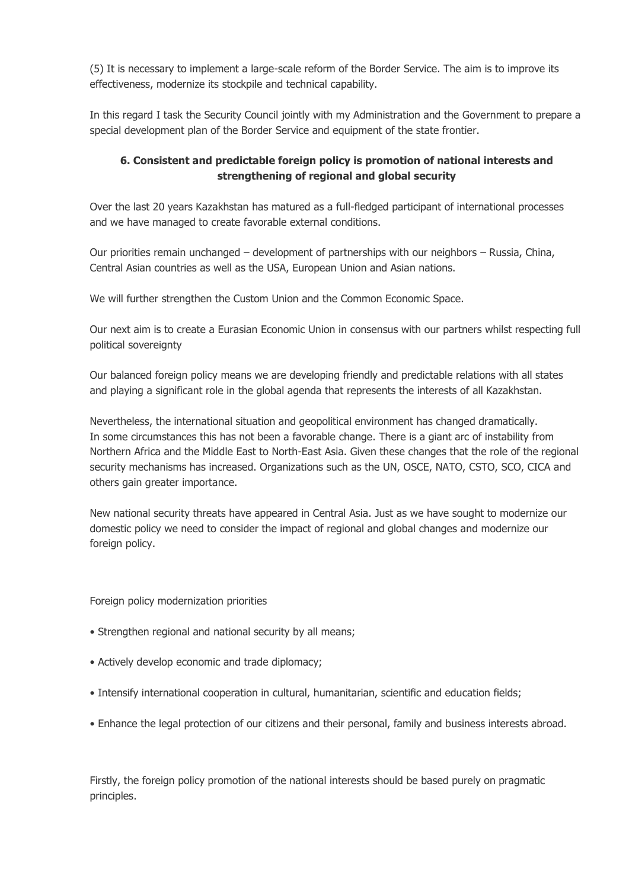(5) It is necessary to implement a large-scale reform of the Border Service. The aim is to improve its effectiveness, modernize its stockpile and technical capability.

In this regard I task the Security Council jointly with my Administration and the Government to prepare a special development plan of the Border Service and equipment of the state frontier.

# **6. Consistent and predictable foreign policy is promotion of national interests and strengthening of regional and global security**

Over the last 20 years Kazakhstan has matured as a full-fledged participant of international processes and we have managed to create favorable external conditions.

Our priorities remain unchanged – development of partnerships with our neighbors – Russia, China, Central Asian countries as well as the USA, European Union and Asian nations.

We will further strengthen the Custom Union and the Common Economic Space.

Our next aim is to create a Eurasian Economic Union in consensus with our partners whilst respecting full political sovereignty

Our balanced foreign policy means we are developing friendly and predictable relations with all states and playing a significant role in the global agenda that represents the interests of all Kazakhstan.

Nevertheless, the international situation and geopolitical environment has changed dramatically. In some circumstances this has not been a favorable change. There is a giant arc of instability from Northern Africa and the Middle East to North-East Asia. Given these changes that the role of the regional security mechanisms has increased. Organizations such as the UN, OSCE, NATO, CSTO, SCO, CICA and others gain greater importance.

New national security threats have appeared in Central Asia. Just as we have sought to modernize our domestic policy we need to consider the impact of regional and global changes and modernize our foreign policy.

Foreign policy modernization priorities

- Strengthen regional and national security by all means;
- Actively develop economic and trade diplomacy;
- Intensify international cooperation in cultural, humanitarian, scientific and education fields;
- Enhance the legal protection of our citizens and their personal, family and business interests abroad.

Firstly, the foreign policy promotion of the national interests should be based purely on pragmatic principles.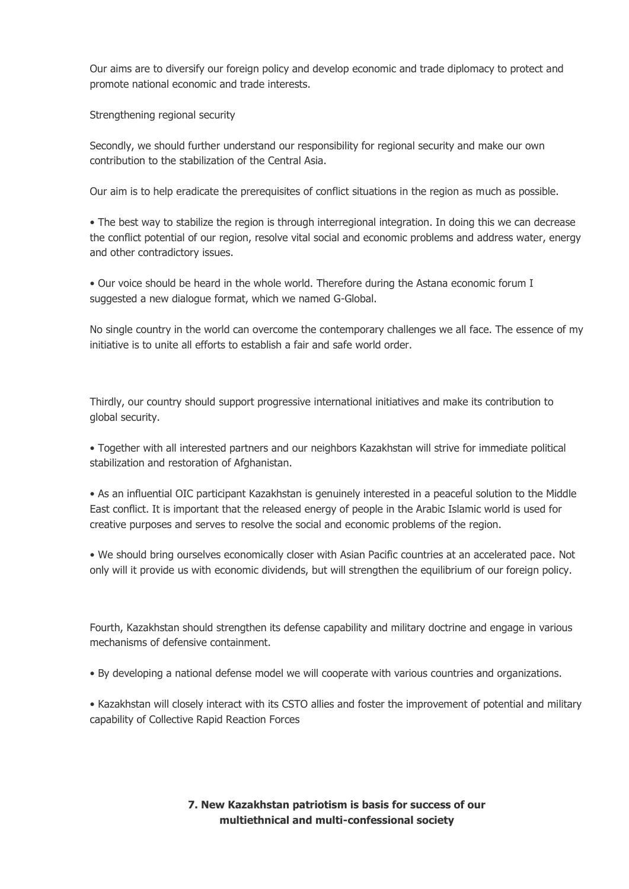Our aims are to diversify our foreign policy and develop economic and trade diplomacy to protect and promote national economic and trade interests.

Strengthening regional security

Secondly, we should further understand our responsibility for regional security and make our own contribution to the stabilization of the Central Asia.

Our aim is to help eradicate the prerequisites of conflict situations in the region as much as possible.

• The best way to stabilize the region is through interregional integration. In doing this we can decrease the conflict potential of our region, resolve vital social and economic problems and address water, energy and other contradictory issues.

• Our voice should be heard in the whole world. Therefore during the Astana economic forum I suggested a new dialogue format, which we named G-Global.

No single country in the world can overcome the contemporary challenges we all face. The essence of my initiative is to unite all efforts to establish a fair and safe world order.

Thirdly, our country should support progressive international initiatives and make its contribution to global security.

• Together with all interested partners and our neighbors Kazakhstan will strive for immediate political stabilization and restoration of Afghanistan.

• As an influential OIC participant Kazakhstan is genuinely interested in a peaceful solution to the Middle East conflict. It is important that the released energy of people in the Arabic Islamic world is used for creative purposes and serves to resolve the social and economic problems of the region.

• We should bring ourselves economically closer with Asian Pacific countries at an accelerated pace. Not only will it provide us with economic dividends, but will strengthen the equilibrium of our foreign policy.

Fourth, Kazakhstan should strengthen its defense capability and military doctrine and engage in various mechanisms of defensive containment.

• By developing a national defense model we will cooperate with various countries and organizations.

• Kazakhstan will closely interact with its CSTO allies and foster the improvement of potential and military capability of Collective Rapid Reaction Forces

> **7. New Kazakhstan patriotism is basis for success of our multiethnical and multi-confessional society**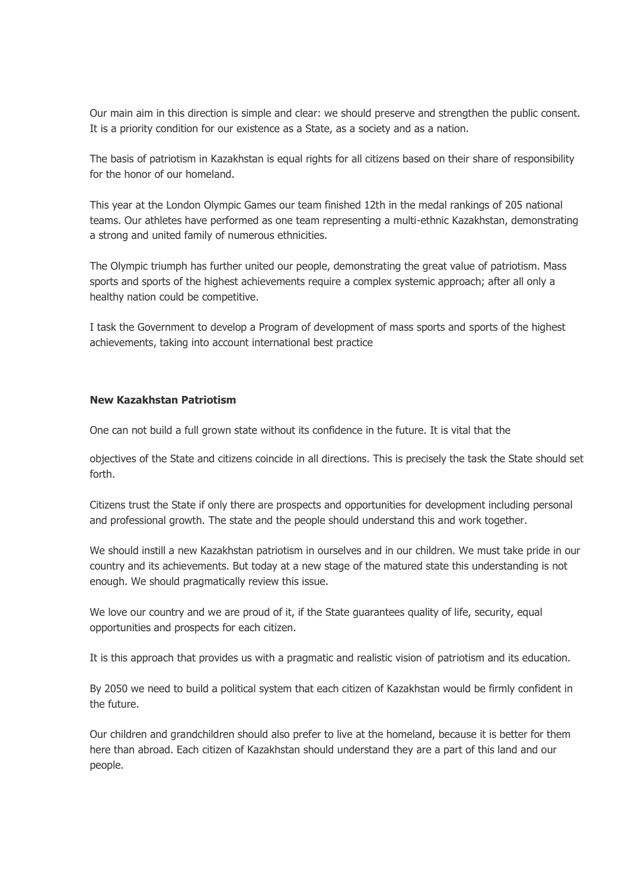Our main aim in this direction is simple and clear: we should preserve and strengthen the public consent. It is a priority condition for our existence as a State, as a society and as a nation.

The basis of patriotism in Kazakhstan is equal rights for all citizens based on their share of responsibility for the honor of our homeland.

This year at the London Olympic Games our team finished 12th in the medal rankings of 205 national teams. Our athletes have performed as one team representing a multi-ethnic Kazakhstan, demonstrating a strong and united family of numerous ethnicities.

The Olympic triumph has further united our people, demonstrating the great value of patriotism. Mass sports and sports of the highest achievements require a complex systemic approach; after all only a healthy nation could be competitive.

I task the Government to develop a Program of development of mass sports and sports of the highest achievements, taking into account international best practice

#### **New Kazakhstan Patriotism**

One can not build a full grown state without its confidence in the future. It is vital that the

objectives of the State and citizens coincide in all directions. This is precisely the task the State should set forth.

Citizens trust the State if only there are prospects and opportunities for development including personal and professional growth. The state and the people should understand this and work together.

We should instill a new Kazakhstan patriotism in ourselves and in our children. We must take pride in our country and its achievements. But today at a new stage of the matured state this understanding is not enough. We should pragmatically review this issue.

We love our country and we are proud of it, if the State guarantees quality of life, security, equal opportunities and prospects for each citizen.

It is this approach that provides us with a pragmatic and realistic vision of patriotism and its education.

By 2050 we need to build a political system that each citizen of Kazakhstan would be firmly confident in the future.

Our children and grandchildren should also prefer to live at the homeland, because it is better for them here than abroad. Each citizen of Kazakhstan should understand they are a part of this land and our people.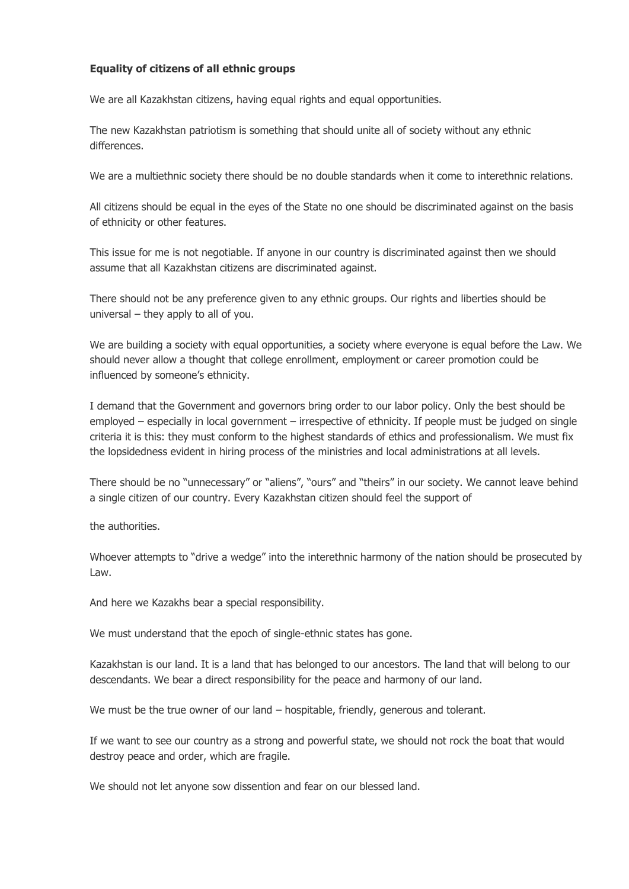# **Equality of citizens of all ethnic groups**

We are all Kazakhstan citizens, having equal rights and equal opportunities.

The new Kazakhstan patriotism is something that should unite all of society without any ethnic differences.

We are a multiethnic society there should be no double standards when it come to interethnic relations.

All citizens should be equal in the eyes of the State no one should be discriminated against on the basis of ethnicity or other features.

This issue for me is not negotiable. If anyone in our country is discriminated against then we should assume that all Kazakhstan citizens are discriminated against.

There should not be any preference given to any ethnic groups. Our rights and liberties should be universal – they apply to all of you.

We are building a society with equal opportunities, a society where everyone is equal before the Law. We should never allow a thought that college enrollment, employment or career promotion could be influenced by someone's ethnicity.

I demand that the Government and governors bring order to our labor policy. Only the best should be employed – especially in local government – irrespective of ethnicity. If people must be judged on single criteria it is this: they must conform to the highest standards of ethics and professionalism. We must fix the lopsidedness evident in hiring process of the ministries and local administrations at all levels.

There should be no "unnecessary" or "aliens", "ours" and "theirs" in our society. We cannot leave behind a single citizen of our country. Every Kazakhstan citizen should feel the support of

the authorities.

Whoever attempts to "drive a wedge" into the interethnic harmony of the nation should be prosecuted by Law.

And here we Kazakhs bear a special responsibility.

We must understand that the epoch of single-ethnic states has gone.

Kazakhstan is our land. It is a land that has belonged to our ancestors. The land that will belong to our descendants. We bear a direct responsibility for the peace and harmony of our land.

We must be the true owner of our land – hospitable, friendly, generous and tolerant.

If we want to see our country as a strong and powerful state, we should not rock the boat that would destroy peace and order, which are fragile.

We should not let anyone sow dissention and fear on our blessed land.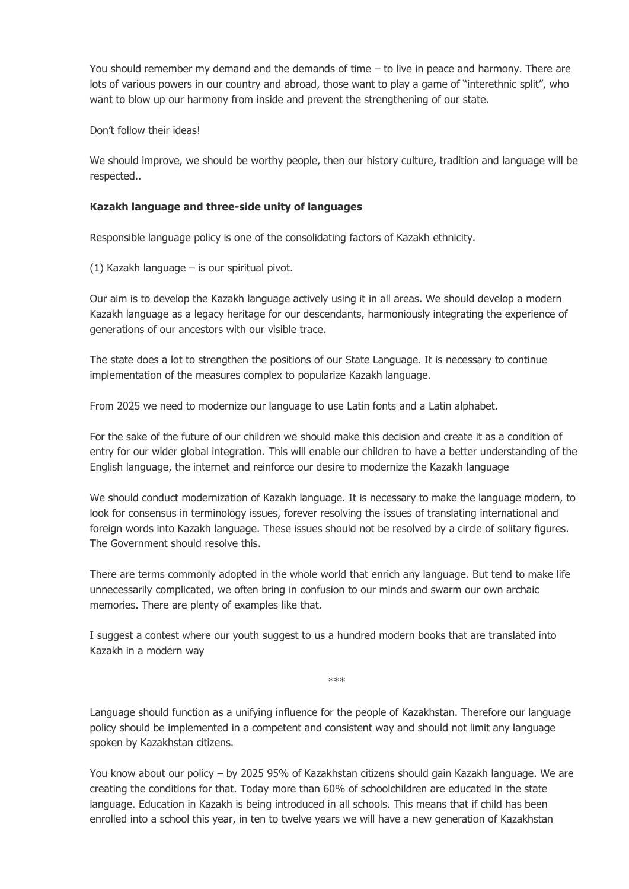You should remember my demand and the demands of time – to live in peace and harmony. There are lots of various powers in our country and abroad, those want to play a game of "interethnic split", who want to blow up our harmony from inside and prevent the strengthening of our state.

Don't follow their ideas!

We should improve, we should be worthy people, then our history culture, tradition and language will be respected..

### **Kazakh language and three-side unity of languages**

Responsible language policy is one of the consolidating factors of Kazakh ethnicity.

(1) Kazakh language – is our spiritual pivot.

Our aim is to develop the Kazakh language actively using it in all areas. We should develop a modern Kazakh language as a legacy heritage for our descendants, harmoniously integrating the experience of generations of our ancestors with our visible trace.

The state does a lot to strengthen the positions of our State Language. It is necessary to continue implementation of the measures complex to popularize Kazakh language.

From 2025 we need to modernize our language to use Latin fonts and a Latin alphabet.

For the sake of the future of our children we should make this decision and create it as a condition of entry for our wider global integration. This will enable our children to have a better understanding of the English language, the internet and reinforce our desire to modernize the Kazakh language

We should conduct modernization of Kazakh language. It is necessary to make the language modern, to look for consensus in terminology issues, forever resolving the issues of translating international and foreign words into Kazakh language. These issues should not be resolved by a circle of solitary figures. The Government should resolve this.

There are terms commonly adopted in the whole world that enrich any language. But tend to make life unnecessarily complicated, we often bring in confusion to our minds and swarm our own archaic memories. There are plenty of examples like that.

I suggest a contest where our youth suggest to us a hundred modern books that are translated into Kazakh in a modern way

\*\*\*

Language should function as a unifying influence for the people of Kazakhstan. Therefore our language policy should be implemented in a competent and consistent way and should not limit any language spoken by Kazakhstan citizens.

You know about our policy – by 2025 95% of Kazakhstan citizens should gain Kazakh language. We are creating the conditions for that. Today more than 60% of schoolchildren are educated in the state language. Education in Kazakh is being introduced in all schools. This means that if child has been enrolled into a school this year, in ten to twelve years we will have a new generation of Kazakhstan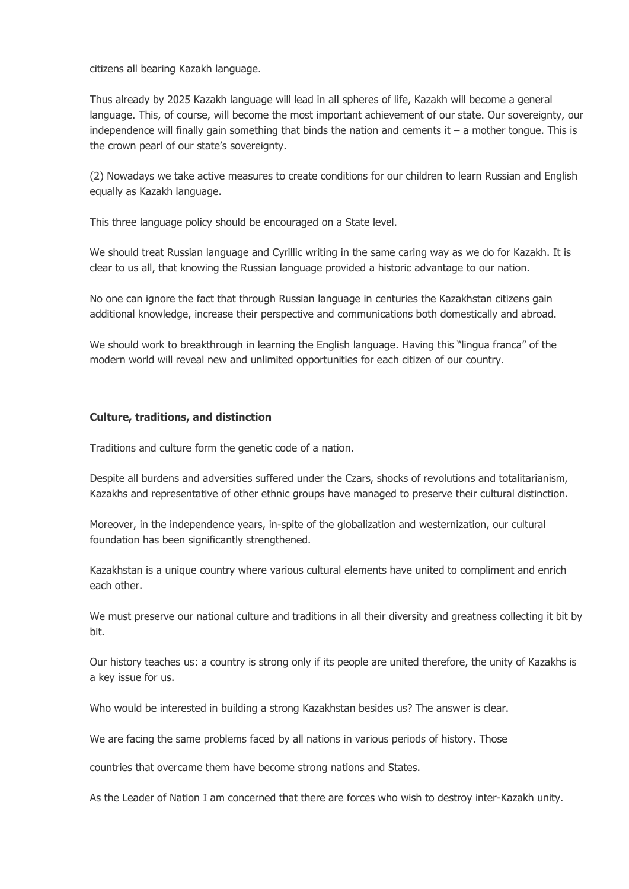citizens all bearing Kazakh language.

Thus already by 2025 Kazakh language will lead in all spheres of life, Kazakh will become a general language. This, of course, will become the most important achievement of our state. Our sovereignty, our independence will finally gain something that binds the nation and cements it  $-$  a mother tongue. This is the crown pearl of our state's sovereignty.

(2) Nowadays we take active measures to create conditions for our children to learn Russian and English equally as Kazakh language.

This three language policy should be encouraged on a State level.

We should treat Russian language and Cyrillic writing in the same caring way as we do for Kazakh. It is clear to us all, that knowing the Russian language provided a historic advantage to our nation.

No one can ignore the fact that through Russian language in centuries the Kazakhstan citizens gain additional knowledge, increase their perspective and communications both domestically and abroad.

We should work to breakthrough in learning the English language. Having this "lingua franca" of the modern world will reveal new and unlimited opportunities for each citizen of our country.

#### **Culture, traditions, and distinction**

Traditions and culture form the genetic code of a nation.

Despite all burdens and adversities suffered under the Czars, shocks of revolutions and totalitarianism, Kazakhs and representative of other ethnic groups have managed to preserve their cultural distinction.

Moreover, in the independence years, in-spite of the globalization and westernization, our cultural foundation has been significantly strengthened.

Kazakhstan is a unique country where various cultural elements have united to compliment and enrich each other.

We must preserve our national culture and traditions in all their diversity and greatness collecting it bit by bit.

Our history teaches us: a country is strong only if its people are united therefore, the unity of Kazakhs is a key issue for us.

Who would be interested in building a strong Kazakhstan besides us? The answer is clear.

We are facing the same problems faced by all nations in various periods of history. Those

countries that overcame them have become strong nations and States.

As the Leader of Nation I am concerned that there are forces who wish to destroy inter-Kazakh unity.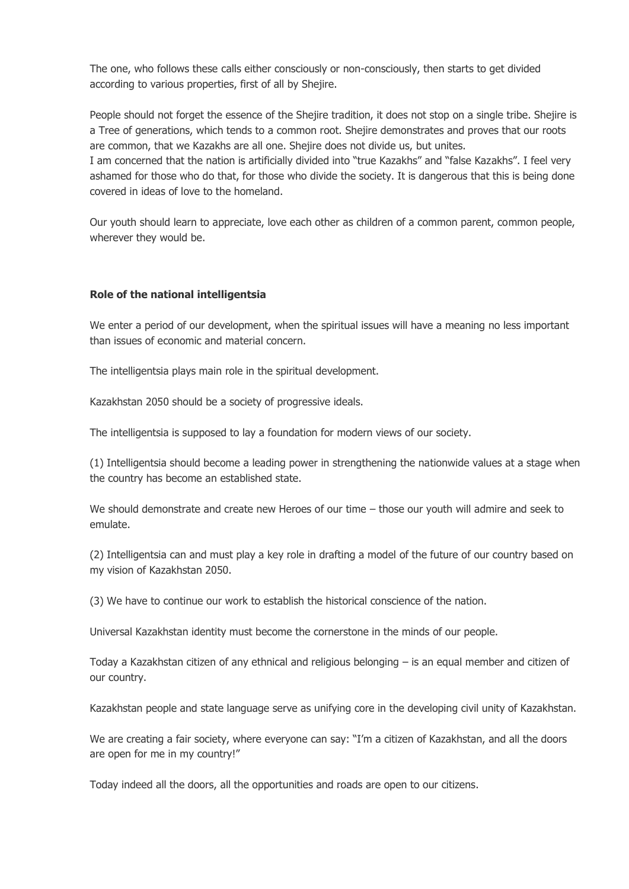The one, who follows these calls either consciously or non-consciously, then starts to get divided according to various properties, first of all by Shejire.

People should not forget the essence of the Shejire tradition, it does not stop on a single tribe. Shejire is a Tree of generations, which tends to a common root. Shejire demonstrates and proves that our roots are common, that we Kazakhs are all one. Shejire does not divide us, but unites.

I am concerned that the nation is artificially divided into "true Kazakhs" and "false Kazakhs". I feel very ashamed for those who do that, for those who divide the society. It is dangerous that this is being done covered in ideas of love to the homeland.

Our youth should learn to appreciate, love each other as children of a common parent, common people, wherever they would be.

### **Role of the national intelligentsia**

We enter a period of our development, when the spiritual issues will have a meaning no less important than issues of economic and material concern.

The intelligentsia plays main role in the spiritual development.

Kazakhstan 2050 should be a society of progressive ideals.

The intelligentsia is supposed to lay a foundation for modern views of our society.

(1) Intelligentsia should become a leading power in strengthening the nationwide values at a stage when the country has become an established state.

We should demonstrate and create new Heroes of our time – those our youth will admire and seek to emulate.

(2) Intelligentsia can and must play a key role in drafting a model of the future of our country based on my vision of Kazakhstan 2050.

(3) We have to continue our work to establish the historical conscience of the nation.

Universal Kazakhstan identity must become the cornerstone in the minds of our people.

Today a Kazakhstan citizen of any ethnical and religious belonging – is an equal member and citizen of our country.

Kazakhstan people and state language serve as unifying core in the developing civil unity of Kazakhstan.

We are creating a fair society, where everyone can say: "I'm a citizen of Kazakhstan, and all the doors are open for me in my country!"

Today indeed all the doors, all the opportunities and roads are open to our citizens.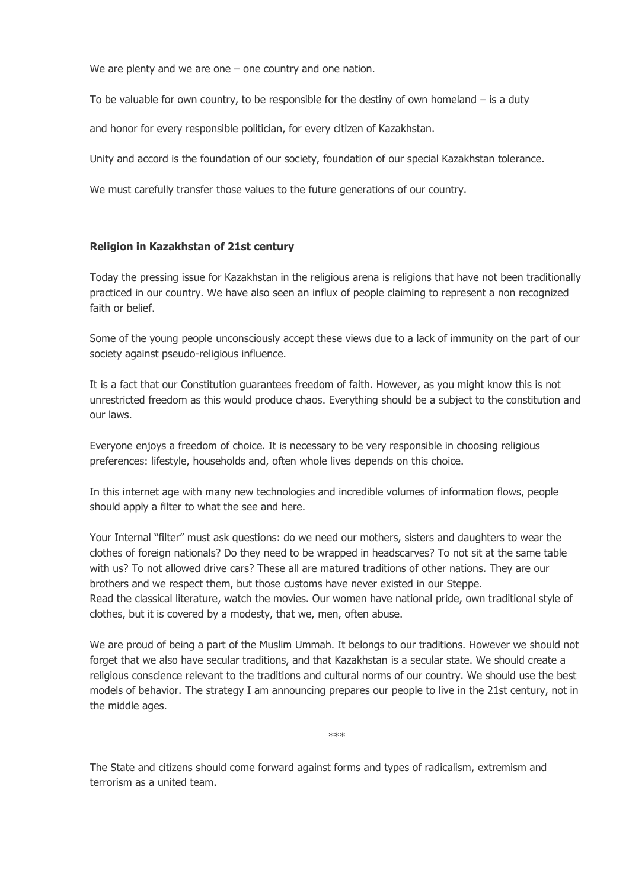We are plenty and we are one – one country and one nation.

To be valuable for own country, to be responsible for the destiny of own homeland  $-$  is a duty

and honor for every responsible politician, for every citizen of Kazakhstan.

Unity and accord is the foundation of our society, foundation of our special Kazakhstan tolerance.

We must carefully transfer those values to the future generations of our country.

### **Religion in Kazakhstan of 21st century**

Today the pressing issue for Kazakhstan in the religious arena is religions that have not been traditionally practiced in our country. We have also seen an influx of people claiming to represent a non recognized faith or belief.

Some of the young people unconsciously accept these views due to a lack of immunity on the part of our society against pseudo-religious influence.

It is a fact that our Constitution guarantees freedom of faith. However, as you might know this is not unrestricted freedom as this would produce chaos. Everything should be a subject to the constitution and our laws.

Everyone enjoys a freedom of choice. It is necessary to be very responsible in choosing religious preferences: lifestyle, households and, often whole lives depends on this choice.

In this internet age with many new technologies and incredible volumes of information flows, people should apply a filter to what the see and here.

Your Internal "filter" must ask questions: do we need our mothers, sisters and daughters to wear the clothes of foreign nationals? Do they need to be wrapped in headscarves? To not sit at the same table with us? To not allowed drive cars? These all are matured traditions of other nations. They are our brothers and we respect them, but those customs have never existed in our Steppe. Read the classical literature, watch the movies. Our women have national pride, own traditional style of clothes, but it is covered by a modesty, that we, men, often abuse.

We are proud of being a part of the Muslim Ummah. It belongs to our traditions. However we should not forget that we also have secular traditions, and that Kazakhstan is a secular state. We should create a religious conscience relevant to the traditions and cultural norms of our country. We should use the best models of behavior. The strategy I am announcing prepares our people to live in the 21st century, not in the middle ages.

\*\*\*

The State and citizens should come forward against forms and types of radicalism, extremism and terrorism as a united team.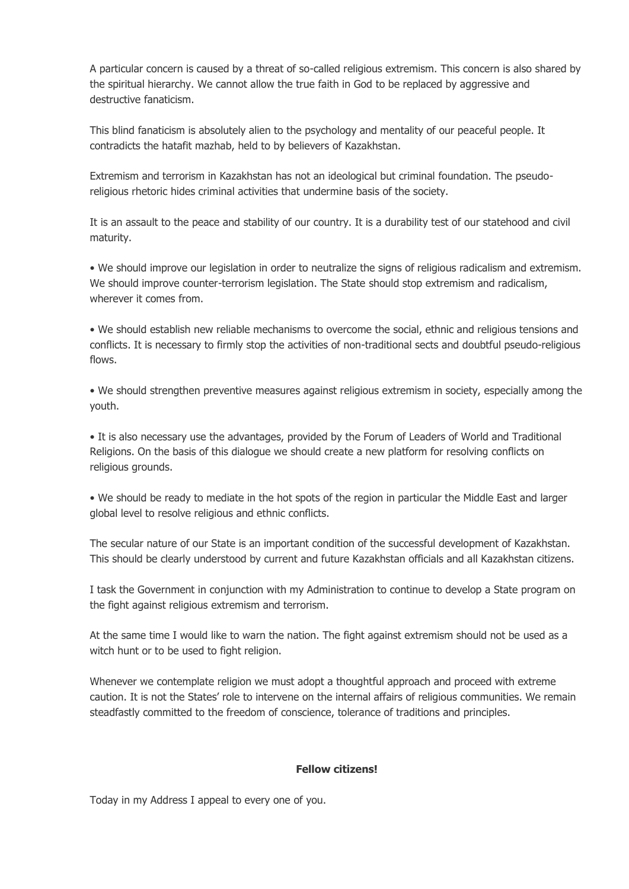A particular concern is caused by a threat of so-called religious extremism. This concern is also shared by the spiritual hierarchy. We cannot allow the true faith in God to be replaced by aggressive and destructive fanaticism.

This blind fanaticism is absolutely alien to the psychology and mentality of our peaceful people. It contradicts the hatafit mazhab, held to by believers of Kazakhstan.

Extremism and terrorism in Kazakhstan has not an ideological but criminal foundation. The pseudoreligious rhetoric hides criminal activities that undermine basis of the society.

It is an assault to the peace and stability of our country. It is a durability test of our statehood and civil maturity.

• We should improve our legislation in order to neutralize the signs of religious radicalism and extremism. We should improve counter-terrorism legislation. The State should stop extremism and radicalism, wherever it comes from.

• We should establish new reliable mechanisms to overcome the social, ethnic and religious tensions and conflicts. It is necessary to firmly stop the activities of non-traditional sects and doubtful pseudo-religious flows.

• We should strengthen preventive measures against religious extremism in society, especially among the youth.

• It is also necessary use the advantages, provided by the Forum of Leaders of World and Traditional Religions. On the basis of this dialogue we should create a new platform for resolving conflicts on religious grounds.

• We should be ready to mediate in the hot spots of the region in particular the Middle East and larger global level to resolve religious and ethnic conflicts.

The secular nature of our State is an important condition of the successful development of Kazakhstan. This should be clearly understood by current and future Kazakhstan officials and all Kazakhstan citizens.

I task the Government in conjunction with my Administration to continue to develop a State program on the fight against religious extremism and terrorism.

At the same time I would like to warn the nation. The fight against extremism should not be used as a witch hunt or to be used to fight religion.

Whenever we contemplate religion we must adopt a thoughtful approach and proceed with extreme caution. It is not the States' role to intervene on the internal affairs of religious communities. We remain steadfastly committed to the freedom of conscience, tolerance of traditions and principles.

# **Fellow citizens!**

Today in my Address I appeal to every one of you.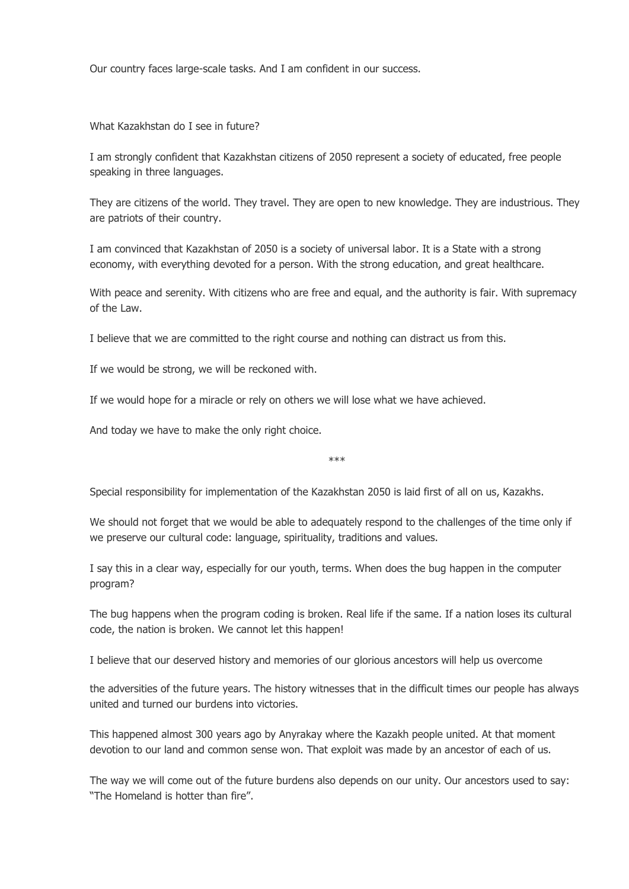Our country faces large-scale tasks. And I am confident in our success.

What Kazakhstan do I see in future?

I am strongly confident that Kazakhstan citizens of 2050 represent a society of educated, free people speaking in three languages.

They are citizens of the world. They travel. They are open to new knowledge. They are industrious. They are patriots of their country.

I am convinced that Kazakhstan of 2050 is a society of universal labor. It is a State with a strong economy, with everything devoted for a person. With the strong education, and great healthcare.

With peace and serenity. With citizens who are free and equal, and the authority is fair. With supremacy of the Law.

I believe that we are committed to the right course and nothing can distract us from this.

If we would be strong, we will be reckoned with.

If we would hope for a miracle or rely on others we will lose what we have achieved.

And today we have to make the only right choice.

\*\*\*

Special responsibility for implementation of the Kazakhstan 2050 is laid first of all on us, Kazakhs.

We should not forget that we would be able to adequately respond to the challenges of the time only if we preserve our cultural code: language, spirituality, traditions and values.

I say this in a clear way, especially for our youth, terms. When does the bug happen in the computer program?

The bug happens when the program coding is broken. Real life if the same. If a nation loses its cultural code, the nation is broken. We cannot let this happen!

I believe that our deserved history and memories of our glorious ancestors will help us overcome

the adversities of the future years. The history witnesses that in the difficult times our people has always united and turned our burdens into victories.

This happened almost 300 years ago by Anyrakay where the Kazakh people united. At that moment devotion to our land and common sense won. That exploit was made by an ancestor of each of us.

The way we will come out of the future burdens also depends on our unity. Our ancestors used to say: "The Homeland is hotter than fire".